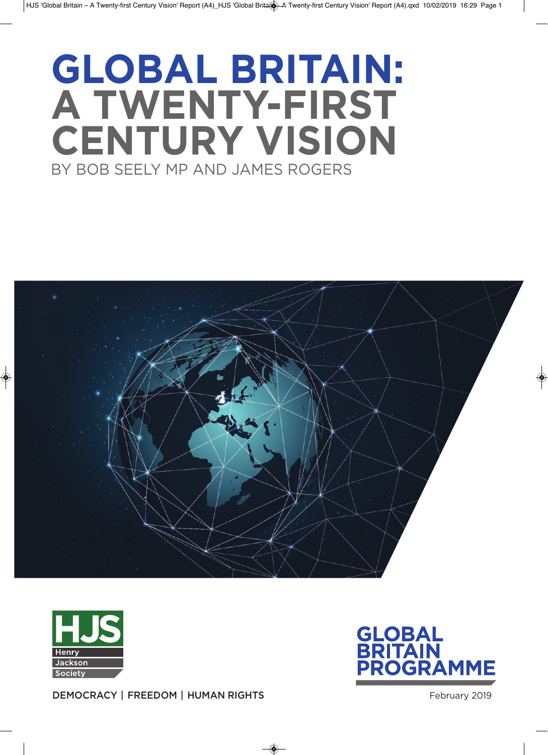# **Global britain: a twenty-first Century Vision** By BoB Seely MP and JaMeS RogeRS





**GLOBAL BRITA** GRAMME

**DEMOCRACY | FREEDOM | HUMAN RIGHTS** February 2019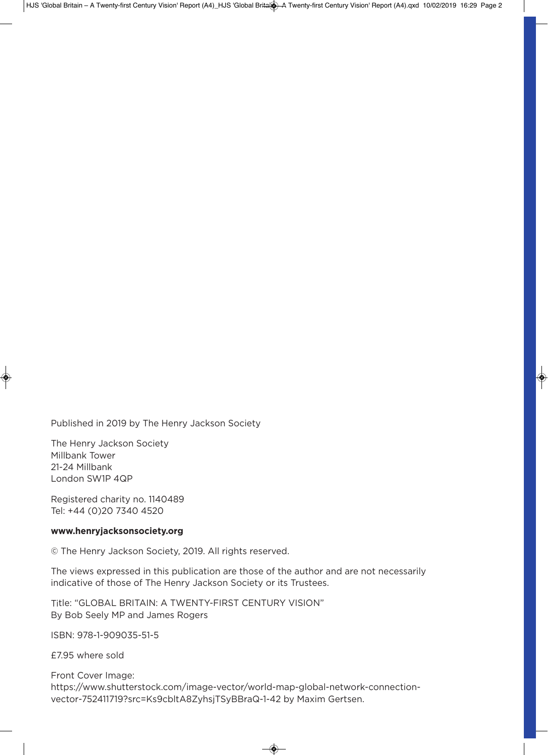Published in 2019 by The Henry Jackson Society

The Henry Jackson Society Millbank Tower 21-24 Millbank London SW1P 4QP

Registered charity no. 1140489 Tel: +44 (0)20 7340 4520

#### **www.henryjacksonsociety.org**

© The Henry Jackson Society, 2019. all rights reserved.

The views expressed in this publication are those of the author and are not necessarily indicative of those of The Henry Jackson Society or its Trustees.

Title: "gloBal BRiTain: a TWenTy-FiRST CenTuRy ViSion" By Bob Seely MP and James Rogers

iSBn: 978-1-909035-51-5

£7.95 where sold

Front Cover image: https://www.shutterstock.com/image-vector/world-map-global-network-connectionvector-752411719?src=Ks9cblta8ZyhsjTSyBBraQ-1-42 by Maxim gertsen.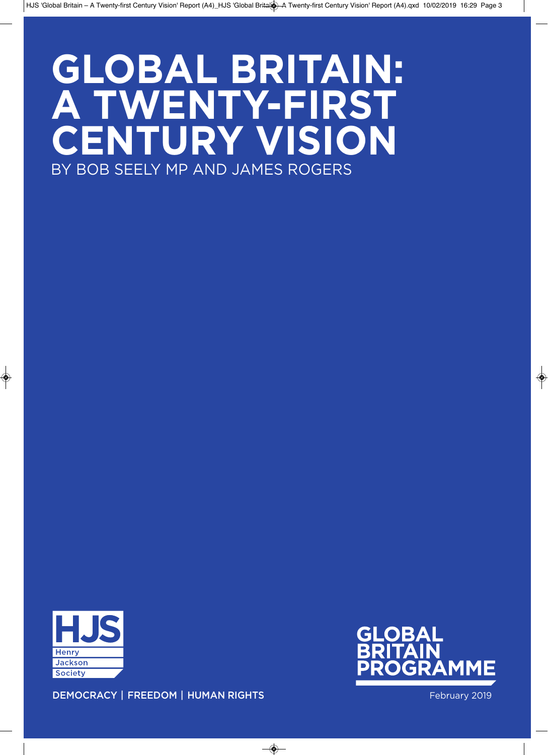# **Global britain: a twenty-first Century Vision** By BoB Seely MP and JaMeS RogeRS



MME

**DEMOCRACY | FREEDOM | HUMAN RIGHTS Example 2019** February 2019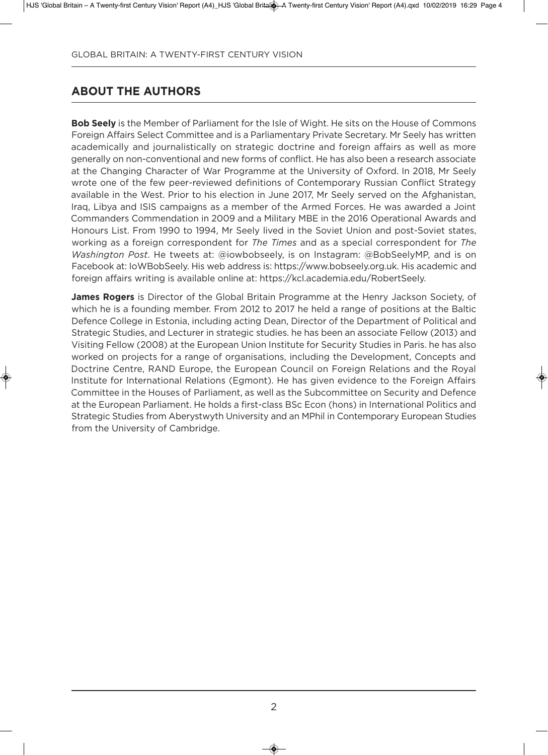# **about the authors**

**bob seely** is the Member of Parliament for the isle of Wight. He sits on the House of Commons Foreign affairs Select Committee and is a Parliamentary Private Secretary. Mr Seely has written academically and journalistically on strategic doctrine and foreign affairs as well as more generally on non-conventional and new forms of conflict. He has also been a research associate at the Changing Character of War Programme at the University of Oxford. In 2018, Mr Seely wrote one of the few peer-reviewed definitions of Contemporary Russian Conflict Strategy available in the West. Prior to his election in June 2017, Mr Seely served on the afghanistan, iraq, libya and iSiS campaigns as a member of the armed Forces. He was awarded a Joint Commanders Commendation in 2009 and a Military MBE in the 2016 Operational Awards and Honours List. From 1990 to 1994, Mr Seely lived in the Soviet Union and post-Soviet states, working as a foreign correspondent for *The Times* and as a special correspondent for *The Washington Post*. He tweets at: @iowbobseely, is on instagram: @BobSeelyMP, and is on Facebook at: ioWBobSeely. His web address is: https://www.bobseely.org.uk. His academic and foreign affairs writing is available online at: https://kcl.academia.edu/RobertSeely.

**James Rogers** is Director of the Global Britain Programme at the Henry Jackson Society, of which he is a founding member. From 2012 to 2017 he held a range of positions at the Baltic Defence College in Estonia, including acting Dean, Director of the Department of Political and Strategic Studies, and lecturer in strategic studies. he has been an associate Fellow (2013) and Visiting Fellow (2008) at the European Union Institute for Security Studies in Paris. he has also worked on projects for a range of organisations, including the development, Concepts and Doctrine Centre, RAND Europe, the European Council on Foreign Relations and the Royal Institute for International Relations (Egmont). He has given evidence to the Foreign Affairs Committee in the Houses of Parliament, as well as the Subcommittee on Security and Defence at the European Parliament. He holds a first-class BSc Econ (hons) in International Politics and Strategic Studies from Aberystwyth University and an MPhil in Contemporary European Studies from the University of Cambridge.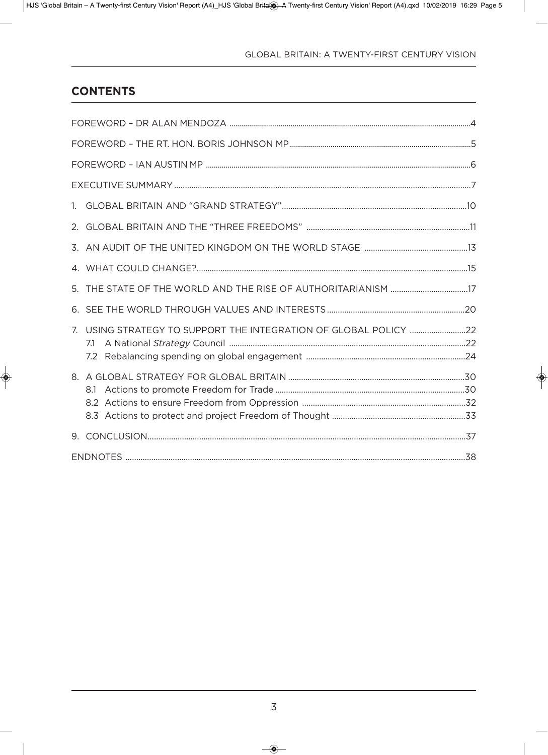# **Contents**

| 1. |                                                                         |  |  |  |
|----|-------------------------------------------------------------------------|--|--|--|
|    |                                                                         |  |  |  |
|    |                                                                         |  |  |  |
|    |                                                                         |  |  |  |
|    |                                                                         |  |  |  |
|    |                                                                         |  |  |  |
|    | 7. USING STRATEGY TO SUPPORT THE INTEGRATION OF GLOBAL POLICY 22<br>7.1 |  |  |  |
|    | 8.1                                                                     |  |  |  |
|    |                                                                         |  |  |  |
|    |                                                                         |  |  |  |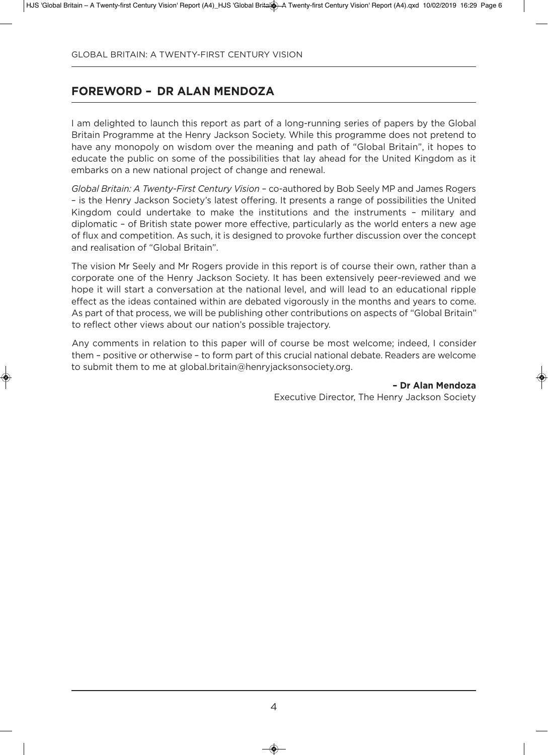# **foreworD – Dr alan MenDoZa**

I am delighted to launch this report as part of a long-running series of papers by the Global Britain Programme at the Henry Jackson Society. While this programme does not pretend to have any monopoly on wisdom over the meaning and path of "Global Britain", it hopes to educate the public on some of the possibilities that lay ahead for the United Kingdom as it embarks on a new national project of change and renewal.

*Global Britain: A Twenty-First Century Vision* – co-authored by Bob Seely MP and James Rogers – is the Henry Jackson Society's latest offering. it presents a range of possibilities the united Kingdom could undertake to make the institutions and the instruments – military and diplomatic – of British state power more effective, particularly as the world enters a new age of flux and competition. as such, it is designed to provoke further discussion over the concept and realisation of "global Britain".

The vision Mr Seely and Mr Rogers provide in this report is of course their own, rather than a corporate one of the Henry Jackson Society. it has been extensively peer-reviewed and we hope it will start a conversation at the national level, and will lead to an educational ripple effect as the ideas contained within are debated vigorously in the months and years to come. As part of that process, we will be publishing other contributions on aspects of "Global Britain" to reflect other views about our nation's possible trajectory.

Any comments in relation to this paper will of course be most welcome; indeed, I consider them – positive or otherwise – to form part of this crucial national debate. Readers are welcome to submit them to me at global.britain@henryjacksonsociety.org.

> **– Dr alan Mendoza** Executive Director, The Henry Jackson Society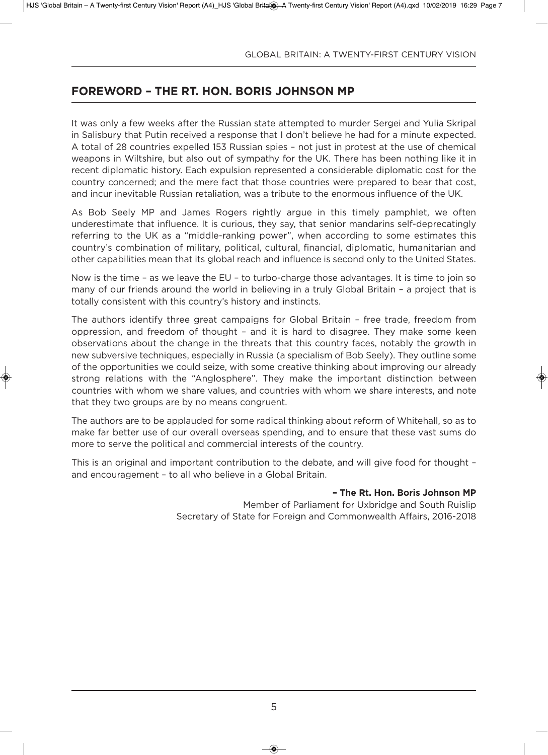## **foreworD – the rt. hon. boris Johnson MP**

It was only a few weeks after the Russian state attempted to murder Sergei and Yulia Skripal in Salisbury that Putin received a response that i don't believe he had for a minute expected. a total of 28 countries expelled 153 Russian spies – not just in protest at the use of chemical weapons in Wiltshire, but also out of sympathy for the UK. There has been nothing like it in recent diplomatic history. Each expulsion represented a considerable diplomatic cost for the country concerned; and the mere fact that those countries were prepared to bear that cost, and incur inevitable Russian retaliation, was a tribute to the enormous influence of the UK.

as Bob Seely MP and James Rogers rightly argue in this timely pamphlet, we often underestimate that influence. it is curious, they say, that senior mandarins self-deprecatingly referring to the UK as a "middle-ranking power", when according to some estimates this country's combination of military, political, cultural, financial, diplomatic, humanitarian and other capabilities mean that its global reach and influence is second only to the United States.

Now is the time – as we leave the EU – to turbo-charge those advantages. It is time to join so many of our friends around the world in believing in a truly global Britain – a project that is totally consistent with this country's history and instincts.

The authors identify three great campaigns for global Britain – free trade, freedom from oppression, and freedom of thought – and it is hard to disagree. They make some keen observations about the change in the threats that this country faces, notably the growth in new subversive techniques, especially in Russia (a specialism of Bob Seely). They outline some of the opportunities we could seize, with some creative thinking about improving our already strong relations with the "Anglosphere". They make the important distinction between countries with whom we share values, and countries with whom we share interests, and note that they two groups are by no means congruent.

The authors are to be applauded for some radical thinking about reform of Whitehall, so as to make far better use of our overall overseas spending, and to ensure that these vast sums do more to serve the political and commercial interests of the country.

This is an original and important contribution to the debate, and will give food for thought – and encouragement – to all who believe in a global Britain.

#### **– the rt. hon. boris Johnson MP**

Member of Parliament for Uxbridge and South Ruislip Secretary of State for Foreign and Commonwealth affairs, 2016-2018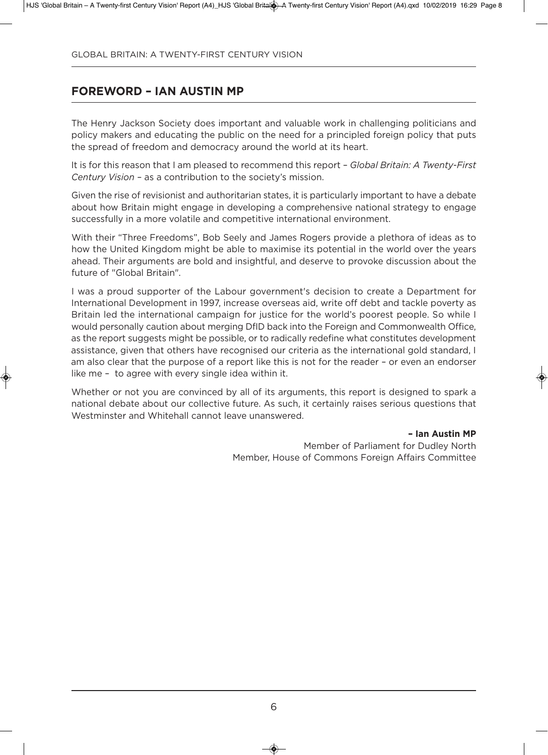# **foreworD – ian austin MP**

The Henry Jackson Society does important and valuable work in challenging politicians and policy makers and educating the public on the need for a principled foreign policy that puts the spread of freedom and democracy around the world at its heart.

it is for this reason that i am pleased to recommend this report – *Global Britain: A Twenty-First Century Vision* – as a contribution to the society's mission.

Given the rise of revisionist and authoritarian states, it is particularly important to have a debate about how Britain might engage in developing a comprehensive national strategy to engage successfully in a more volatile and competitive international environment.

With their "Three Freedoms", Bob Seely and James Rogers provide a plethora of ideas as to how the United Kingdom might be able to maximise its potential in the world over the years ahead. Their arguments are bold and insightful, and deserve to provoke discussion about the future of "Global Britain".

I was a proud supporter of the Labour government's decision to create a Department for International Development in 1997, increase overseas aid, write off debt and tackle poverty as Britain led the international campaign for justice for the world's poorest people. So while i would personally caution about merging DfID back into the Foreign and Commonwealth Office, as the report suggests might be possible, or to radically redefine what constitutes development assistance, given that others have recognised our criteria as the international gold standard, i am also clear that the purpose of a report like this is not for the reader – or even an endorser like me – to agree with every single idea within it.

Whether or not you are convinced by all of its arguments, this report is designed to spark a national debate about our collective future. As such, it certainly raises serious questions that Westminster and Whitehall cannot leave unanswered.

#### **– ian austin MP**

Member of Parliament for Dudley North Member, House of Commons Foreign affairs Committee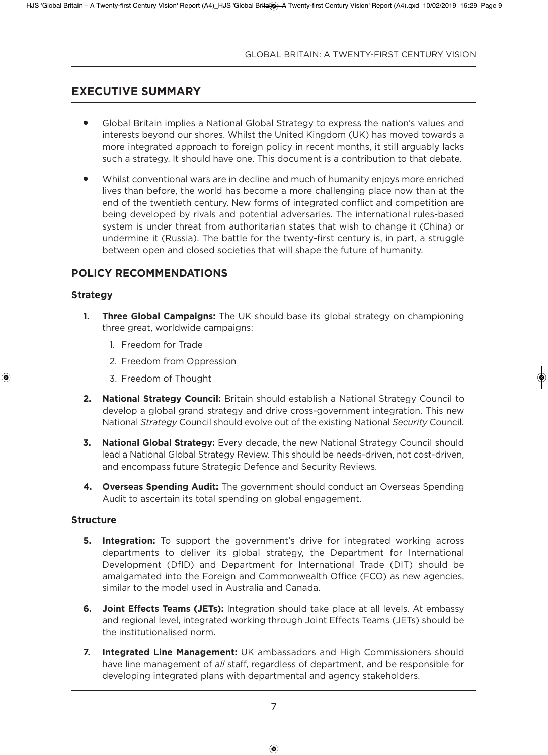# **eXeCutiVe suMMary**

- Global Britain implies a National Global Strategy to express the nation's values and interests beyond our shores. Whilst the United Kingdom (UK) has moved towards a more integrated approach to foreign policy in recent months, it still arguably lacks such a strategy. it should have one. This document is a contribution to that debate.
- <sup>l</sup> Whilst conventional wars are in decline and much of humanity enjoys more enriched lives than before, the world has become a more challenging place now than at the end of the twentieth century. New forms of integrated conflict and competition are being developed by rivals and potential adversaries. The international rules-based system is under threat from authoritarian states that wish to change it (China) or undermine it (Russia). The battle for the twenty-first century is, in part, a struggle between open and closed societies that will shape the future of humanity.

## **PoliCy reCoMMenDations**

#### **strategy**

- **1. Three Global Campaigns:** The UK should base its global strategy on championing three great, worldwide campaigns:
	- 1. Freedom for Trade
	- 2. Freedom from oppression
	- 3. Freedom of Thought
- **2. National Strategy Council:** Britain should establish a National Strategy Council to develop a global grand strategy and drive cross-government integration. This new national *Strategy* Council should evolve out of the existing national *Security* Council.
- **3. National Global Strategy:** Every decade, the new National Strategy Council should lead a National Global Strategy Review. This should be needs-driven, not cost-driven, and encompass future Strategic Defence and Security Reviews.
- **4. Overseas Spending Audit:** The government should conduct an Overseas Spending Audit to ascertain its total spending on global engagement.

#### **structure**

- **5. Integration:** To support the government's drive for integrated working across departments to deliver its global strategy, the department for international Development (DfID) and Department for International Trade (DIT) should be amalgamated into the Foreign and Commonwealth office (FCo) as new agencies, similar to the model used in australia and Canada.
- **6.** Joint Effects Teams (JETs): Integration should take place at all levels. At embassy and regional level, integrated working through Joint Effects Teams (JETs) should be the institutionalised norm.
- **7.** Integrated Line Management: UK ambassadors and High Commissioners should have line management of *all* staff, regardless of department, and be responsible for developing integrated plans with departmental and agency stakeholders.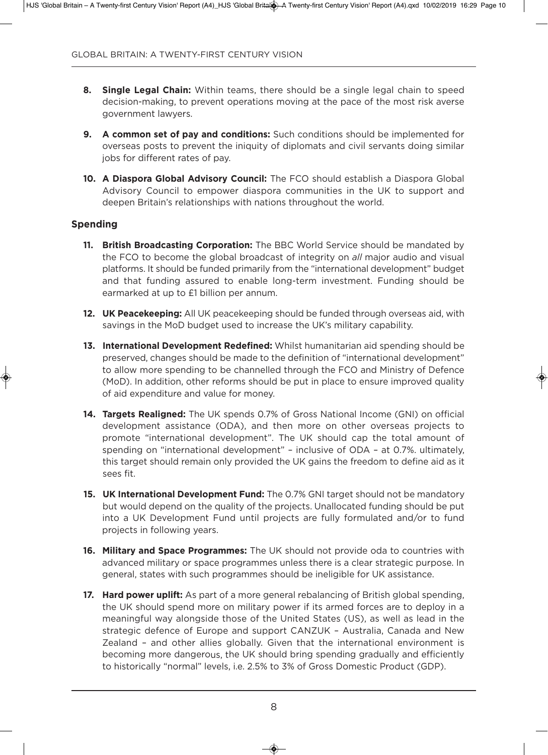- **8. single legal Chain:** Within teams, there should be a single legal chain to speed decision-making, to prevent operations moving at the pace of the most risk averse government lawyers.
- **9.** A common set of pay and conditions: Such conditions should be implemented for overseas posts to prevent the iniquity of diplomats and civil servants doing similar jobs for different rates of pay.
- **10. A Diaspora Global Advisory Council:** The FCO should establish a Diaspora Global advisory Council to empower diaspora communities in the uK to support and deepen Britain's relationships with nations throughout the world.

#### **spending**

- **11. british broadcasting Corporation:** The BBC World Service should be mandated by the FCo to become the global broadcast of integrity on *all* major audio and visual platforms. it should be funded primarily from the "international development" budget and that funding assured to enable long-term investment. Funding should be earmarked at up to £1 billion per annum.
- **12. UK Peacekeeping:** All UK peacekeeping should be funded through overseas aid, with savings in the MoD budget used to increase the UK's military capability.
- **13. International Development Redefined:** Whilst humanitarian aid spending should be preserved, changes should be made to the definition of "international development" to allow more spending to be channelled through the FCO and Ministry of Defence (Mod). in addition, other reforms should be put in place to ensure improved quality of aid expenditure and value for money.
- 14. Targets Realigned: The UK spends 0.7% of Gross National Income (GNI) on official development assistance (ODA), and then more on other overseas projects to promote "international development". The UK should cap the total amount of spending on "international development" – inclusive of ODA – at 0.7%. ultimately, this target should remain only provided the UK gains the freedom to define aid as it sees fit.
- **15. UK International Development Fund:** The 0.7% GNI target should not be mandatory but would depend on the quality of the projects. Unallocated funding should be put into a UK Development Fund until projects are fully formulated and/or to fund projects in following years.
- **16. Military and Space Programmes:** The UK should not provide oda to countries with advanced military or space programmes unless there is a clear strategic purpose. in general, states with such programmes should be ineligible for uK assistance.
- **17. Hard power uplift:** As part of a more general rebalancing of British global spending, the uK should spend more on military power if its armed forces are to deploy in a meaningful way alongside those of the United States (US), as well as lead in the strategic defence of Europe and support CANZUK - Australia, Canada and New Zealand – and other allies globally. given that the international environment is becoming more dangerous, the UK should bring spending gradually and efficiently to historically "normal" levels, i.e. 2.5% to 3% of Gross Domestic Product (GDP).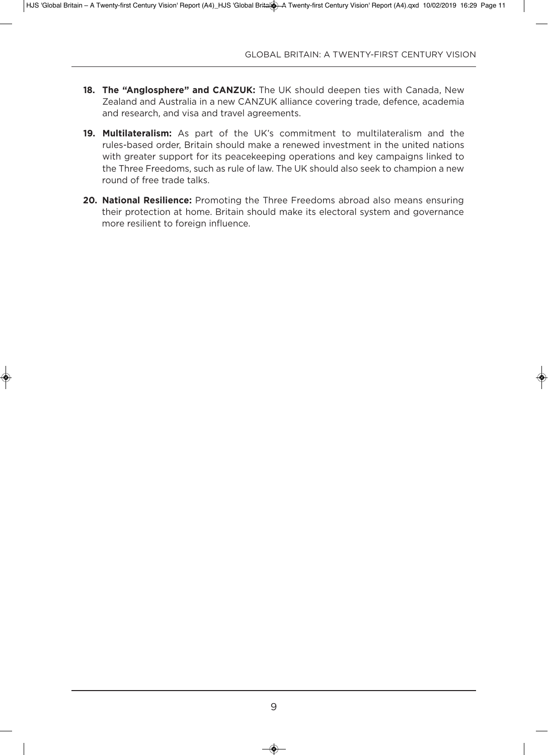- 18. The "Anglosphere" and CANZUK: The UK should deepen ties with Canada, New Zealand and Australia in a new CANZUK alliance covering trade, defence, academia and research, and visa and travel agreements.
- **19. Multilateralism:** As part of the UK's commitment to multilateralism and the rules-based order, Britain should make a renewed investment in the united nations with greater support for its peacekeeping operations and key campaigns linked to the Three Freedoms, such as rule of law. The UK should also seek to champion a new round of free trade talks.
- **20. National Resilience:** Promoting the Three Freedoms abroad also means ensuring their protection at home. Britain should make its electoral system and governance more resilient to foreign influence.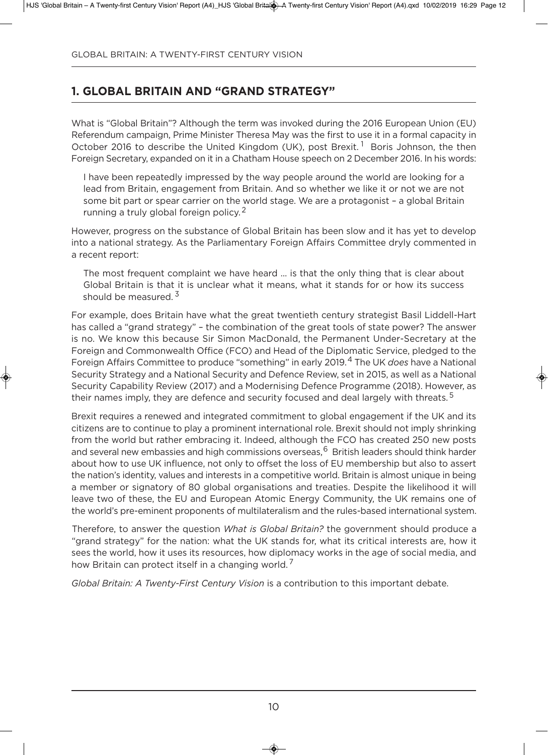# **1. Global britain anD "GranD strateGy"**

What is "Global Britain"? Although the term was invoked during the 2016 European Union (EU) Referendum campaign, Prime Minister Theresa May was the first to use it in a formal capacity in October 2016 to describe the United Kingdom (UK), post Brexit.<sup>1</sup> Boris Johnson, the then Foreign Secretary, expanded on it in a Chatham House speech on 2 December 2016. In his words:

i have been repeatedly impressed by the way people around the world are looking for a lead from Britain, engagement from Britain. And so whether we like it or not we are not some bit part or spear carrier on the world stage. We are a protagonist – a global Britain running a truly global foreign policy.<sup>2</sup>

However, progress on the substance of global Britain has been slow and it has yet to develop into a national strategy. As the Parliamentary Foreign Affairs Committee dryly commented in a recent report:

The most frequent complaint we have heard ... is that the only thing that is clear about global Britain is that it is unclear what it means, what it stands for or how its success should be measured.  $3^{\circ}$ 

For example, does Britain have what the great twentieth century strategist Basil liddell-Hart has called a "grand strategy" – the combination of the great tools of state power? The answer is no. We know this because Sir Simon MacDonald, the Permanent Under-Secretary at the Foreign and Commonwealth Office (FCO) and Head of the Diplomatic Service, pledged to the Foreign Affairs Committee to produce "something" in early 2019.<sup>4</sup> The UK *does* have a National Security Strategy and a National Security and Defence Review, set in 2015, as well as a National Security Capability Review (2017) and a Modernising Defence Programme (2018). However, as their names imply, they are defence and security focused and deal largely with threats.<sup>5</sup>

Brexit requires a renewed and integrated commitment to global engagement if the UK and its citizens are to continue to play a prominent international role. Brexit should not imply shrinking from the world but rather embracing it. indeed, although the FCo has created 250 new posts and several new embassies and high commissions overseas, <sup>6</sup> British leaders should think harder about how to use UK influence, not only to offset the loss of EU membership but also to assert the nation's identity, values and interests in a competitive world. Britain is almost unique in being a member or signatory of 80 global organisations and treaties. Despite the likelihood it will leave two of these, the EU and European Atomic Energy Community, the UK remains one of the world's pre-eminent proponents of multilateralism and the rules-based international system.

Therefore, to answer the question *What is Global Britain?* the government should produce a "grand strategy" for the nation: what the UK stands for, what its critical interests are, how it sees the world, how it uses its resources, how diplomacy works in the age of social media, and how Britain can protect itself in a changing world.

*Global Britain: A Twenty-First Century Vision* is a contribution to this important debate.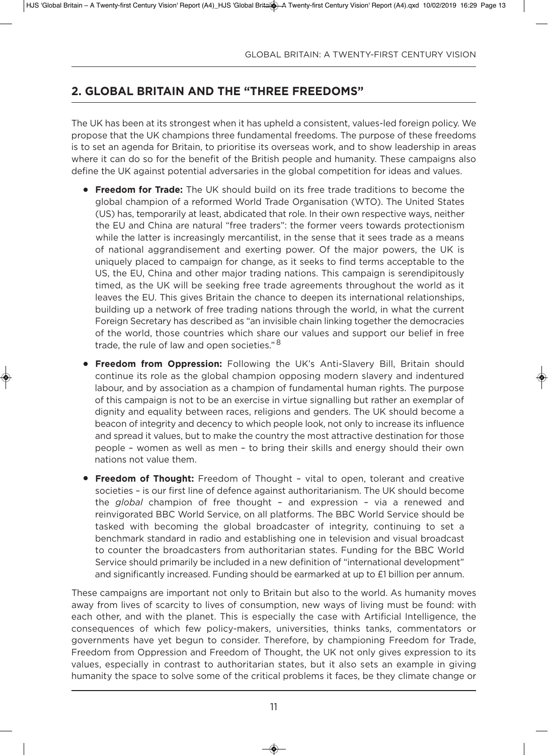# **2. Global britain anD the "three freeDoMs"**

The UK has been at its strongest when it has upheld a consistent, values-led foreign policy. We propose that the uK champions three fundamental freedoms. The purpose of these freedoms is to set an agenda for Britain, to prioritise its overseas work, and to show leadership in areas where it can do so for the benefit of the British people and humanity. These campaigns also define the UK against potential adversaries in the global competition for ideas and values.

- **Freedom for Trade:** The UK should build on its free trade traditions to become the global champion of a reformed World Trade Organisation (WTO). The United States (uS) has, temporarily at least, abdicated that role. in their own respective ways, neither the EU and China are natural "free traders": the former veers towards protectionism while the latter is increasingly mercantilist, in the sense that it sees trade as a means of national aggrandisement and exerting power. of the major powers, the uK is uniquely placed to campaign for change, as it seeks to find terms acceptable to the US, the EU, China and other major trading nations. This campaign is serendipitously timed, as the UK will be seeking free trade agreements throughout the world as it leaves the EU. This gives Britain the chance to deepen its international relationships, building up a network of free trading nations through the world, in what the current Foreign Secretary has described as "an invisible chain linking together the democracies of the world, those countries which share our values and support our belief in free trade, the rule of law and open societies."<sup>8</sup>
- **Freedom from Oppression:** Following the UK's Anti-Slavery Bill, Britain should continue its role as the global champion opposing modern slavery and indentured labour, and by association as a champion of fundamental human rights. The purpose of this campaign is not to be an exercise in virtue signalling but rather an exemplar of dignity and equality between races, religions and genders. The UK should become a beacon of integrity and decency to which people look, not only to increase its influence and spread it values, but to make the country the most attractive destination for those people – women as well as men – to bring their skills and energy should their own nations not value them.
- **Freedom of Thought:** Freedom of Thought vital to open, tolerant and creative societies – is our first line of defence against authoritarianism. The UK should become the *global* champion of free thought – and expression – via a renewed and reinvigorated BBC World Service, on all platforms. The BBC World Service should be tasked with becoming the global broadcaster of integrity, continuing to set a benchmark standard in radio and establishing one in television and visual broadcast to counter the broadcasters from authoritarian states. Funding for the BBC World Service should primarily be included in a new definition of "international development" and significantly increased. Funding should be earmarked at up to £1 billion per annum.

These campaigns are important not only to Britain but also to the world. As humanity moves away from lives of scarcity to lives of consumption, new ways of living must be found: with each other, and with the planet. This is especially the case with artificial intelligence, the consequences of which few policy-makers, universities, thinks tanks, commentators or governments have yet begun to consider. Therefore, by championing Freedom for Trade, Freedom from Oppression and Freedom of Thought, the UK not only gives expression to its values, especially in contrast to authoritarian states, but it also sets an example in giving humanity the space to solve some of the critical problems it faces, be they climate change or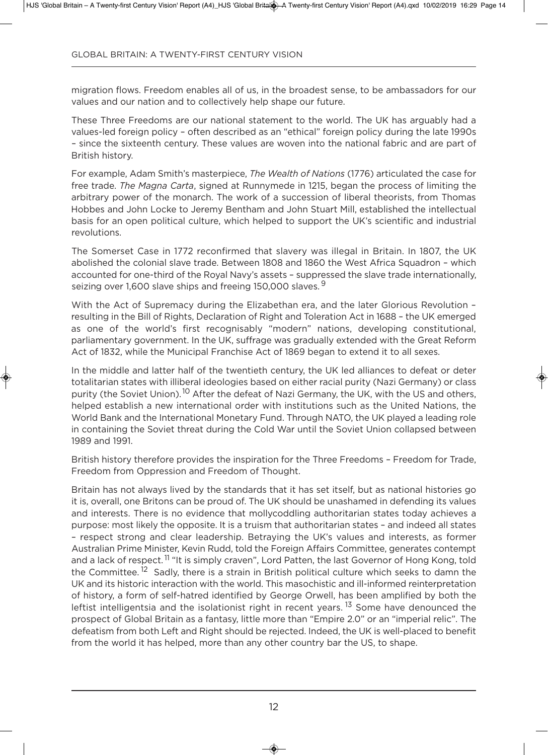migration flows. Freedom enables all of us, in the broadest sense, to be ambassadors for our values and our nation and to collectively help shape our future.

These Three Freedoms are our national statement to the world. The UK has arguably had a values-led foreign policy – often described as an "ethical" foreign policy during the late 1990s – since the sixteenth century. These values are woven into the national fabric and are part of British history.

For example, adam Smith's masterpiece, *The Wealth of Nations* (1776) articulated the case for free trade. *The Magna Carta*, signed at Runnymede in 1215, began the process of limiting the arbitrary power of the monarch. The work of a succession of liberal theorists, from Thomas Hobbes and John locke to Jeremy Bentham and John Stuart Mill, established the intellectual basis for an open political culture, which helped to support the UK's scientific and industrial revolutions.

The Somerset Case in 1772 reconfirmed that slavery was illegal in Britain. In 1807, the UK abolished the colonial slave trade. Between 1808 and 1860 the West africa Squadron – which accounted for one-third of the Royal Navy's assets - suppressed the slave trade internationally, seizing over 1,600 slave ships and freeing 150,000 slaves.<sup>9</sup>

With the Act of Supremacy during the Elizabethan era, and the later Glorious Revolution resulting in the Bill of Rights, Declaration of Right and Toleration Act in 1688 - the UK emerged as one of the world's first recognisably "modern" nations, developing constitutional, parliamentary government. In the UK, suffrage was gradually extended with the Great Reform Act of 1832, while the Municipal Franchise Act of 1869 began to extend it to all sexes.

In the middle and latter half of the twentieth century, the UK led alliances to defeat or deter totalitarian states with illiberal ideologies based on either racial purity (Nazi Germany) or class purity (the Soviet Union).<sup>10</sup> After the defeat of Nazi Germany, the UK, with the US and others, helped establish a new international order with institutions such as the United Nations, the World Bank and the International Monetary Fund. Through NATO, the UK played a leading role in containing the Soviet threat during the Cold War until the Soviet Union collapsed between 1989 and 1991.

British history therefore provides the inspiration for the Three Freedoms – Freedom for Trade, Freedom from oppression and Freedom of Thought.

Britain has not always lived by the standards that it has set itself, but as national histories go it is, overall, one Britons can be proud of. The UK should be unashamed in defending its values and interests. There is no evidence that mollycoddling authoritarian states today achieves a purpose: most likely the opposite. it is a truism that authoritarian states – and indeed all states – respect strong and clear leadership. Betraying the uK's values and interests, as former australian Prime Minister, Kevin Rudd, told the Foreign affairs Committee, generates contempt and a lack of respect.<sup>11</sup> "It is simply craven", Lord Patten, the last Governor of Hong Kong, told the Committee.<sup>12</sup> Sadly, there is a strain in British political culture which seeks to damn the UK and its historic interaction with the world. This masochistic and ill-informed reinterpretation of history, a form of self-hatred identified by george orwell, has been amplified by both the leftist intelligentsia and the isolationist right in recent years.  $13$  Some have denounced the prospect of Global Britain as a fantasy, little more than "Empire 2.0" or an "imperial relic". The defeatism from both Left and Right should be rejected. Indeed, the UK is well-placed to benefit from the world it has helped, more than any other country bar the US, to shape.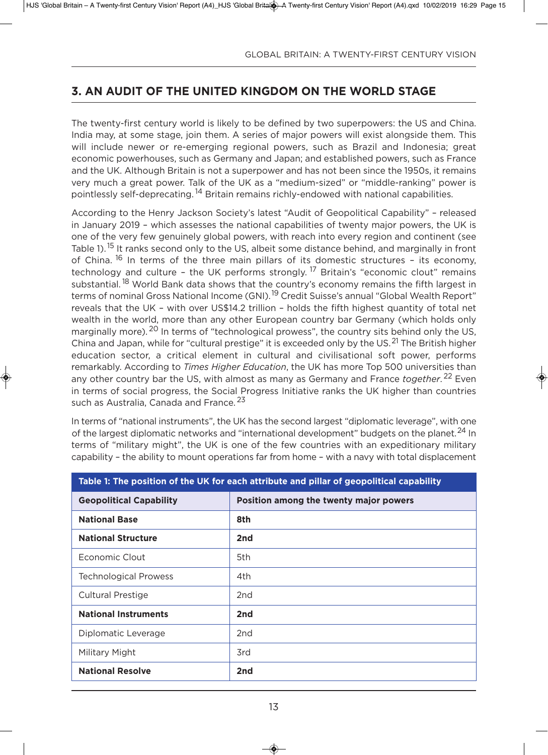# **3. an auDit of the uniteD KinGDoM on the worlD staGe**

The twenty-first century world is likely to be defined by two superpowers: the US and China. India may, at some stage, join them. A series of major powers will exist alongside them. This will include newer or re-emerging regional powers, such as Brazil and indonesia; great economic powerhouses, such as Germany and Japan; and established powers, such as France and the UK. Although Britain is not a superpower and has not been since the 1950s, it remains very much a great power. Talk of the UK as a "medium-sized" or "middle-ranking" power is pointlessly self-deprecating. <sup>14</sup> Britain remains richly-endowed with national capabilities.

According to the Henry Jackson Society's latest "Audit of Geopolitical Capability" - released in January 2019 - which assesses the national capabilities of twenty major powers, the UK is one of the very few genuinely global powers, with reach into every region and continent (see Table 1).<sup>15</sup> It ranks second only to the US, albeit some distance behind, and marginally in front of China.  $^{16}$  In terms of the three main pillars of its domestic structures - its economy, technology and culture - the UK performs strongly.<sup>17</sup> Britain's "economic clout" remains substantial.<sup>18</sup> World Bank data shows that the country's economy remains the fifth largest in terms of nominal Gross National Income (GNI).<sup>19</sup> Credit Suisse's annual "Global Wealth Report" reveals that the uK – with over uS\$14.2 trillion – holds the fifth highest quantity of total net wealth in the world, more than any other European country bar Germany (which holds only marginally more). <sup>20</sup> In terms of "technological prowess", the country sits behind only the US, China and Japan, while for "cultural prestige" it is exceeded only by the US.<sup>21</sup> The British higher education sector, a critical element in cultural and civilisational soft power, performs remarkably. According to *Times Higher Education*, the UK has more Top 500 universities than any other country bar the US, with almost as many as Germany and France *together*.<sup>22</sup> Even in terms of social progress, the Social Progress Initiative ranks the UK higher than countries such as Australia, Canada and France.<sup>23</sup>

In terms of "national instruments", the UK has the second largest "diplomatic leverage", with one of the largest diplomatic networks and "international development" budgets on the planet.<sup>24</sup> In terms of "military might", the UK is one of the few countries with an expeditionary military capability – the ability to mount operations far from home – with a navy with total displacement

| Table 1: The position of the UK for each attribute and pillar of geopolitical capability |                                        |  |  |
|------------------------------------------------------------------------------------------|----------------------------------------|--|--|
| <b>Geopolitical Capability</b>                                                           | Position among the twenty major powers |  |  |
| <b>National Base</b>                                                                     | 8th                                    |  |  |
| <b>National Structure</b>                                                                | 2nd                                    |  |  |
| Economic Clout                                                                           | 5th                                    |  |  |
| <b>Technological Prowess</b>                                                             | 4th                                    |  |  |
| <b>Cultural Prestige</b>                                                                 | 2nd                                    |  |  |
| <b>National Instruments</b>                                                              | 2nd                                    |  |  |
| Diplomatic Leverage                                                                      | 2nd                                    |  |  |
| Military Might                                                                           | 3rd                                    |  |  |
| <b>National Resolve</b>                                                                  | 2nd                                    |  |  |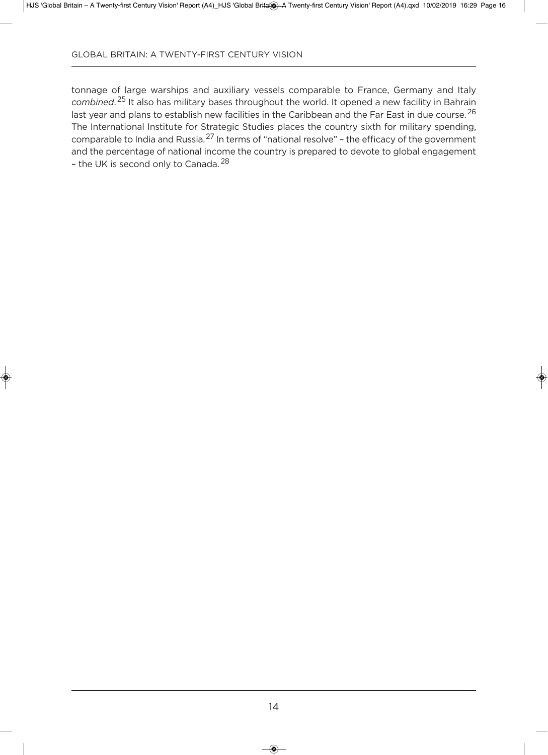tonnage of large warships and auxiliary vessels comparable to France, Germany and Italy *combined*. <sup>25</sup> it also has military bases throughout the world. it opened a new facility in Bahrain last year and plans to establish new facilities in the Caribbean and the Far East in due course. <sup>26</sup> The international institute for Strategic Studies places the country sixth for military spending, comparable to india and Russia.<sup>27</sup> in terms of "national resolve" – the efficacy of the government and the percentage of national income the country is prepared to devote to global engagement - the UK is second only to Canada.<sup>28</sup>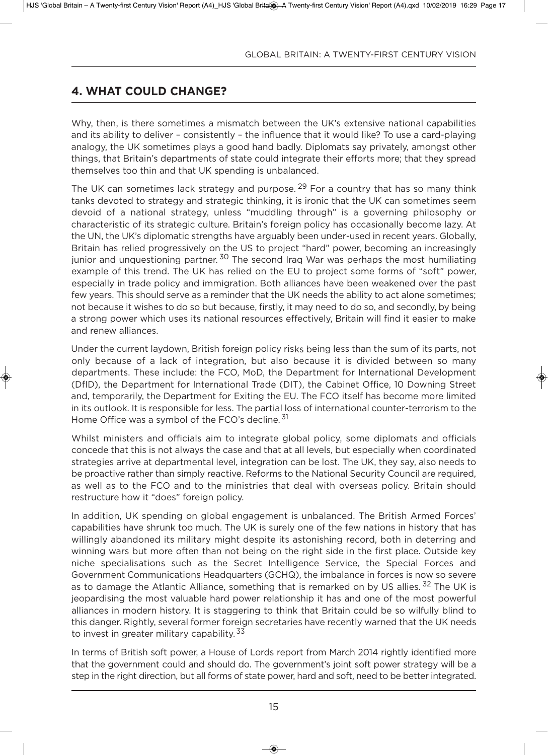# **4. what CoulD ChanGe?**

Why, then, is there sometimes a mismatch between the UK's extensive national capabilities and its ability to deliver – consistently – the influence that it would like? To use a card-playing analogy, the UK sometimes plays a good hand badly. Diplomats say privately, amongst other things, that Britain's departments of state could integrate their efforts more; that they spread themselves too thin and that UK spending is unbalanced.

The UK can sometimes lack strategy and purpose,  $29$  For a country that has so many think tanks devoted to strategy and strategic thinking, it is ironic that the UK can sometimes seem devoid of a national strategy, unless "muddling through" is a governing philosophy or characteristic of its strategic culture. Britain's foreign policy has occasionally become lazy. at the UN, the UK's diplomatic strengths have arguably been under-used in recent years. Globally, Britain has relied progressively on the US to project "hard" power, becoming an increasingly junior and unquestioning partner.<sup>30</sup> The second Iraq War was perhaps the most humiliating example of this trend. The UK has relied on the EU to project some forms of "soft" power, especially in trade policy and immigration. Both alliances have been weakened over the past few years. This should serve as a reminder that the UK needs the ability to act alone sometimes; not because it wishes to do so but because, firstly, it may need to do so, and secondly, by being a strong power which uses its national resources effectively, Britain will find it easier to make and renew alliances.

under the current laydown, British foreign policy risks being less than the sum of its parts, not only because of a lack of integration, but also because it is divided between so many departments. These include: the FCO, MoD, the Department for International Development (DfID), the Department for International Trade (DIT), the Cabinet Office, 10 Downing Street and, temporarily, the Department for Exiting the EU. The FCO itself has become more limited in its outlook. it is responsible for less. The partial loss of international counter-terrorism to the Home Office was a symbol of the FCO's decline.<sup>31</sup>

Whilst ministers and officials aim to integrate global policy, some diplomats and officials concede that this is not always the case and that at all levels, but especially when coordinated strategies arrive at departmental level, integration can be lost. The UK, they say, also needs to be proactive rather than simply reactive. Reforms to the National Security Council are required, as well as to the FCo and to the ministries that deal with overseas policy. Britain should restructure how it "does" foreign policy.

in addition, uK spending on global engagement is unbalanced. The British armed Forces' capabilities have shrunk too much. The UK is surely one of the few nations in history that has willingly abandoned its military might despite its astonishing record, both in deterring and winning wars but more often than not being on the right side in the first place. Outside key niche specialisations such as the Secret intelligence Service, the Special Forces and government Communications Headquarters (gCHQ), the imbalance in forces is now so severe as to damage the Atlantic Alliance, something that is remarked on by US allies.<sup>32</sup> The UK is jeopardising the most valuable hard power relationship it has and one of the most powerful alliances in modern history. it is staggering to think that Britain could be so wilfully blind to this danger. Rightly, several former foreign secretaries have recently warned that the UK needs to invest in greater military capability.<sup>33</sup>

In terms of British soft power, a House of Lords report from March 2014 rightly identified more that the government could and should do. The government's joint soft power strategy will be a step in the right direction, but all forms of state power, hard and soft, need to be better integrated.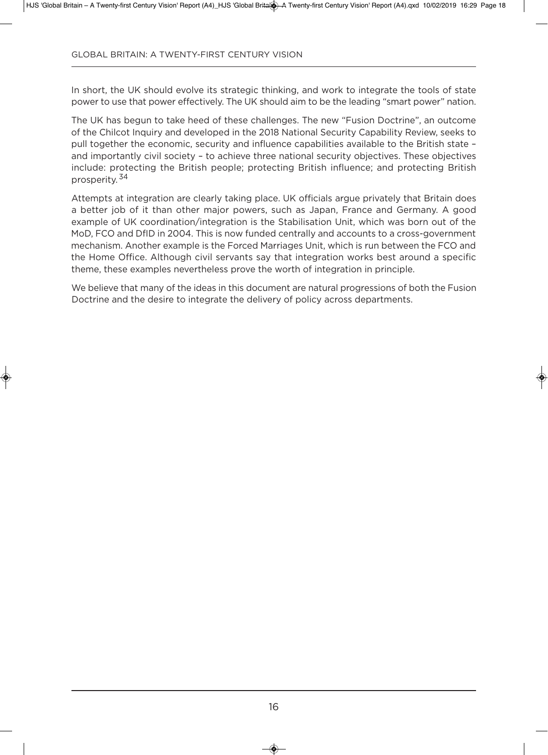In short, the UK should evolve its strategic thinking, and work to integrate the tools of state power to use that power effectively. The UK should aim to be the leading "smart power" nation.

The UK has begun to take heed of these challenges. The new "Fusion Doctrine", an outcome of the Chilcot inquiry and developed in the 2018 national Security Capability Review, seeks to pull together the economic, security and influence capabilities available to the British state – and importantly civil society – to achieve three national security objectives. These objectives include: protecting the British people; protecting British influence; and protecting British prosperity. <sup>34</sup>

Attempts at integration are clearly taking place. UK officials argue privately that Britain does a better job of it than other major powers, such as Japan, France and Germany. A good example of UK coordination/integration is the Stabilisation Unit, which was born out of the MoD, FCO and DfID in 2004. This is now funded centrally and accounts to a cross-government mechanism. Another example is the Forced Marriages Unit, which is run between the FCO and the Home office. although civil servants say that integration works best around a specific theme, these examples nevertheless prove the worth of integration in principle.

We believe that many of the ideas in this document are natural progressions of both the Fusion Doctrine and the desire to integrate the delivery of policy across departments.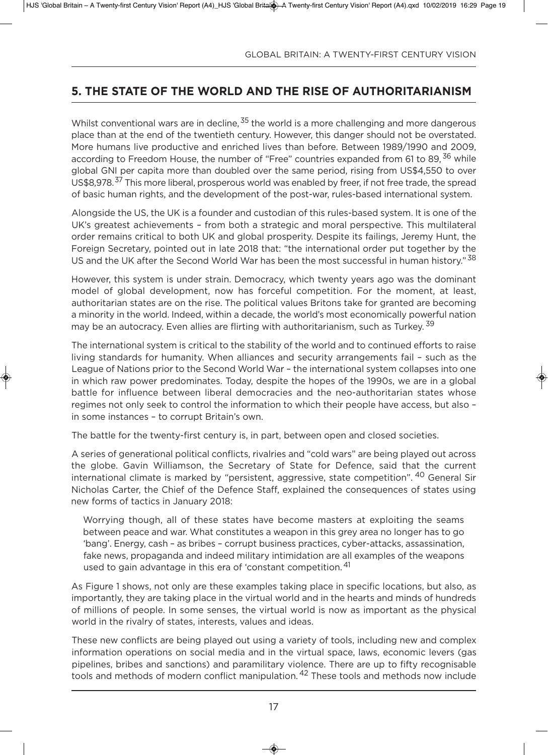# **5. the state of the worlD anD the rise of authoritarianisM**

Whilst conventional wars are in decline,  $35$  the world is a more challenging and more dangerous place than at the end of the twentieth century. However, this danger should not be overstated. More humans live productive and enriched lives than before. Between 1989/1990 and 2009, according to Freedom House, the number of "Free" countries expanded from 61 to 89,<sup>36</sup> while global GNI per capita more than doubled over the same period, rising from US\$4,550 to over US\$8,978.<sup>37</sup> This more liberal, prosperous world was enabled by freer, if not free trade, the spread of basic human rights, and the development of the post-war, rules-based international system.

Alongside the US, the UK is a founder and custodian of this rules-based system. It is one of the UK's greatest achievements - from both a strategic and moral perspective. This multilateral order remains critical to both UK and global prosperity. Despite its failings, Jeremy Hunt, the Foreign Secretary, pointed out in late 2018 that: "the international order put together by the US and the UK after the Second World War has been the most successful in human history." 38

However, this system is under strain. Democracy, which twenty years ago was the dominant model of global development, now has forceful competition. For the moment, at least, authoritarian states are on the rise. The political values Britons take for granted are becoming a minority in the world. indeed, within a decade, the world's most economically powerful nation may be an autocracy. Even allies are flirting with authoritarianism, such as Turkey.<sup>39</sup>

The international system is critical to the stability of the world and to continued efforts to raise living standards for humanity. When alliances and security arrangements fail – such as the League of Nations prior to the Second World War - the international system collapses into one in which raw power predominates. Today, despite the hopes of the 1990s, we are in a global battle for influence between liberal democracies and the neo-authoritarian states whose regimes not only seek to control the information to which their people have access, but also – in some instances – to corrupt Britain's own.

The battle for the twenty-first century is, in part, between open and closed societies.

a series of generational political conflicts, rivalries and "cold wars" are being played out across the globe. Gavin Williamson, the Secretary of State for Defence, said that the current international climate is marked by "persistent, aggressive, state competition". <sup>40</sup> General Sir Nicholas Carter, the Chief of the Defence Staff, explained the consequences of states using new forms of tactics in January 2018:

Worrying though, all of these states have become masters at exploiting the seams between peace and war. What constitutes a weapon in this grey area no longer has to go 'bang'. Energy, cash - as bribes - corrupt business practices, cyber-attacks, assassination, fake news, propaganda and indeed military intimidation are all examples of the weapons used to gain advantage in this era of 'constant competition.<sup>41</sup>

As Figure 1 shows, not only are these examples taking place in specific locations, but also, as importantly, they are taking place in the virtual world and in the hearts and minds of hundreds of millions of people. in some senses, the virtual world is now as important as the physical world in the rivalry of states, interests, values and ideas.

These new conflicts are being played out using a variety of tools, including new and complex information operations on social media and in the virtual space, laws, economic levers (gas pipelines, bribes and sanctions) and paramilitary violence. There are up to fifty recognisable tools and methods of modern conflict manipulation.<sup>42</sup> These tools and methods now include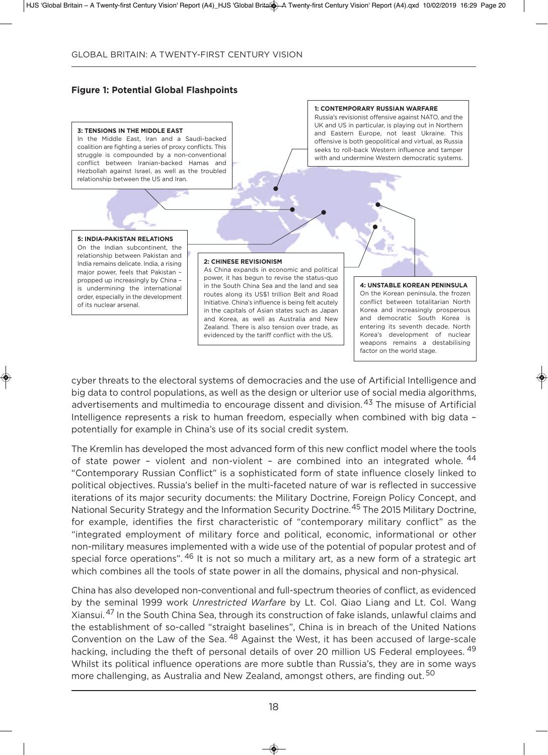#### **figure 1: Potential Global flashpoints**



cyber threats to the electoral systems of democracies and the use of artificial intelligence and big data to control populations, as well as the design or ulterior use of social media algorithms, advertisements and multimedia to encourage dissent and division. <sup>43</sup> The misuse of Artificial Intelligence represents a risk to human freedom, especially when combined with big data potentially for example in China's use of its social credit system.

The Kremlin has developed the most advanced form of this new conflict model where the tools of state power - violent and non-violent - are combined into an integrated whole. <sup>44</sup> "Contemporary Russian Conflict" is a sophisticated form of state influence closely linked to political objectives. Russia's belief in the multi-faceted nature of war is reflected in successive iterations of its major security documents: the Military Doctrine, Foreign Policy Concept, and National Security Strategy and the Information Security Doctrine.<sup>45</sup> The 2015 Military Doctrine, for example, identifies the first characteristic of "contemporary military conflict" as the "integrated employment of military force and political, economic, informational or other non-military measures implemented with a wide use of the potential of popular protest and of special force operations". <sup>46</sup> It is not so much a military art, as a new form of a strategic art which combines all the tools of state power in all the domains, physical and non-physical.

China has also developed non-conventional and full-spectrum theories of conflict, as evidenced by the seminal 1999 work *Unrestricted Warfare* by lt. Col. Qiao liang and lt. Col. Wang Xiansui.<sup>47</sup> in the South China Sea, through its construction of fake islands, unlawful claims and the establishment of so-called "straight baselines", China is in breach of the United Nations Convention on the Law of the Sea. <sup>48</sup> Against the West, it has been accused of large-scale hacking, including the theft of personal details of over 20 million US Federal employees. <sup>49</sup> Whilst its political influence operations are more subtle than Russia's, they are in some ways more challenging, as Australia and New Zealand, amongst others, are finding out.<sup>50</sup>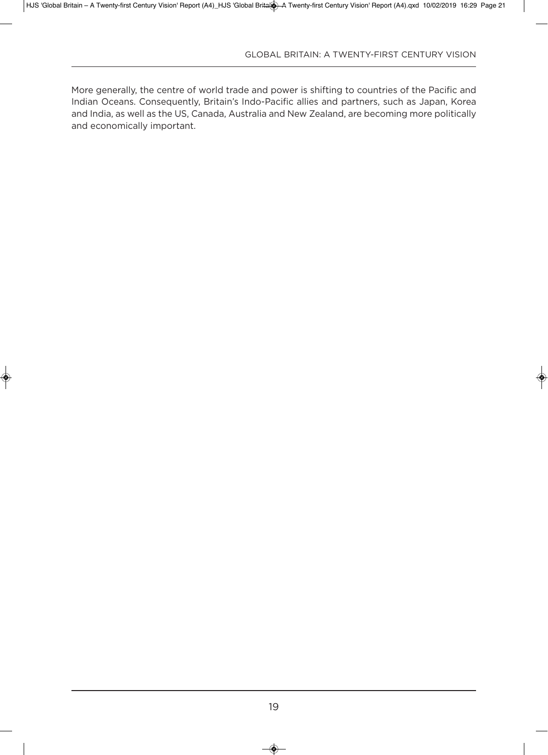More generally, the centre of world trade and power is shifting to countries of the Pacific and indian oceans. Consequently, Britain's indo-Pacific allies and partners, such as Japan, Korea and India, as well as the US, Canada, Australia and New Zealand, are becoming more politically and economically important.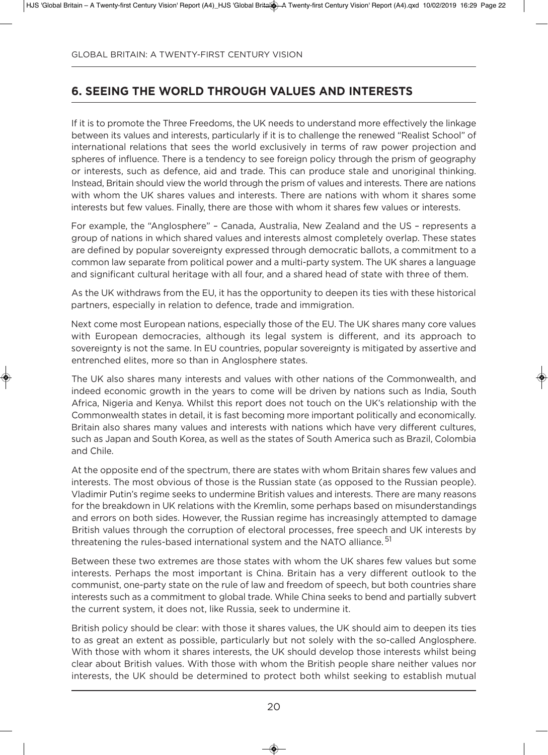# **6. seeinG the worlD throuGh Values anD interests**

If it is to promote the Three Freedoms, the UK needs to understand more effectively the linkage between its values and interests, particularly if it is to challenge the renewed "Realist School" of international relations that sees the world exclusively in terms of raw power projection and spheres of influence. There is a tendency to see foreign policy through the prism of geography or interests, such as defence, aid and trade. This can produce stale and unoriginal thinking. instead, Britain should view the world through the prism of values and interests. There are nations with whom the UK shares values and interests. There are nations with whom it shares some interests but few values. Finally, there are those with whom it shares few values or interests.

For example, the "Anglosphere" – Canada, Australia, New Zealand and the US – represents a group of nations in which shared values and interests almost completely overlap. These states are defined by popular sovereignty expressed through democratic ballots, a commitment to a common law separate from political power and a multi-party system. The UK shares a language and significant cultural heritage with all four, and a shared head of state with three of them.

As the UK withdraws from the EU, it has the opportunity to deepen its ties with these historical partners, especially in relation to defence, trade and immigration.

Next come most European nations, especially those of the EU. The UK shares many core values with European democracies, although its legal system is different, and its approach to sovereignty is not the same. In EU countries, popular sovereignty is mitigated by assertive and entrenched elites, more so than in Anglosphere states.

The UK also shares many interests and values with other nations of the Commonwealth, and indeed economic growth in the years to come will be driven by nations such as india, South africa, nigeria and Kenya. Whilst this report does not touch on the uK's relationship with the Commonwealth states in detail, it is fast becoming more important politically and economically. Britain also shares many values and interests with nations which have very different cultures, such as Japan and South Korea, as well as the states of South America such as Brazil, Colombia and Chile.

at the opposite end of the spectrum, there are states with whom Britain shares few values and interests. The most obvious of those is the Russian state (as opposed to the Russian people). Vladimir Putin's regime seeks to undermine British values and interests. There are many reasons for the breakdown in UK relations with the Kremlin, some perhaps based on misunderstandings and errors on both sides. However, the Russian regime has increasingly attempted to damage British values through the corruption of electoral processes, free speech and UK interests by threatening the rules-based international system and the NATO alliance.<sup>51</sup>

Between these two extremes are those states with whom the UK shares few values but some interests. Perhaps the most important is China. Britain has a very different outlook to the communist, one-party state on the rule of law and freedom of speech, but both countries share interests such as a commitment to global trade. While China seeks to bend and partially subvert the current system, it does not, like Russia, seek to undermine it.

British policy should be clear: with those it shares values, the UK should aim to deepen its ties to as great an extent as possible, particularly but not solely with the so-called anglosphere. With those with whom it shares interests, the UK should develop those interests whilst being clear about British values. With those with whom the British people share neither values nor interests, the UK should be determined to protect both whilst seeking to establish mutual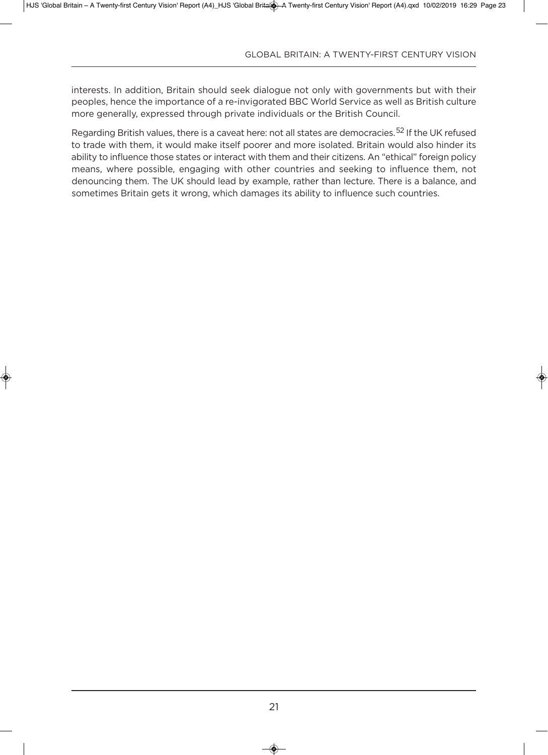interests. in addition, Britain should seek dialogue not only with governments but with their peoples, hence the importance of a re-invigorated BBC World Service as well as British culture more generally, expressed through private individuals or the British Council.

Regarding British values, there is a caveat here: not all states are democracies.<sup>52</sup> If the UK refused to trade with them, it would make itself poorer and more isolated. Britain would also hinder its ability to influence those states or interact with them and their citizens. An "ethical" foreign policy means, where possible, engaging with other countries and seeking to influence them, not denouncing them. The UK should lead by example, rather than lecture. There is a balance, and sometimes Britain gets it wrong, which damages its ability to influence such countries.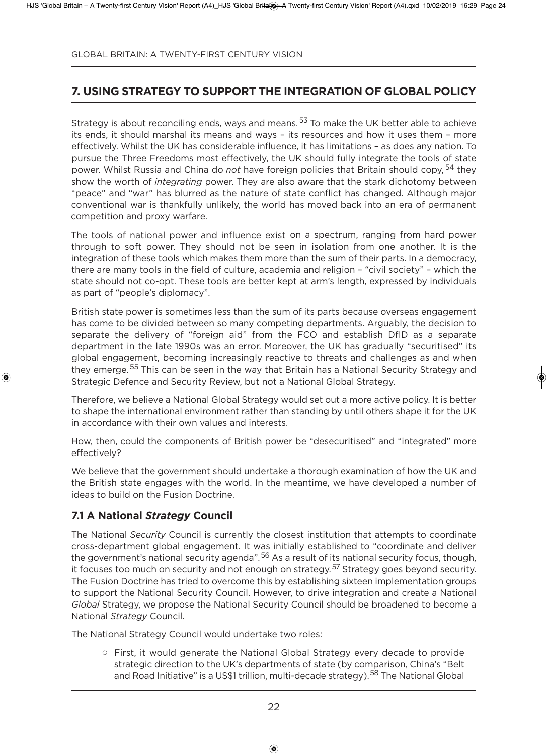# **7. usinG strateGy to suPPort the inteGration of Global PoliCy**

Strategy is about reconciling ends, ways and means.<sup>53</sup> To make the UK better able to achieve its ends, it should marshal its means and ways – its resources and how it uses them – more effectively. Whilst the UK has considerable influence, it has limitations - as does any nation. To pursue the Three Freedoms most effectively, the UK should fully integrate the tools of state power. Whilst Russia and China do *not* have foreign policies that Britain should copy, <sup>54</sup> they show the worth of *integrating* power. They are also aware that the stark dichotomy between "peace" and "war" has blurred as the nature of state conflict has changed. although major conventional war is thankfully unlikely, the world has moved back into an era of permanent competition and proxy warfare.

The tools of national power and influence exist on a spectrum, ranging from hard power through to soft power. They should not be seen in isolation from one another. it is the integration of these tools which makes them more than the sum of their parts. in a democracy, there are many tools in the field of culture, academia and religion – "civil society" – which the state should not co-opt. These tools are better kept at arm's length, expressed by individuals as part of "people's diplomacy".

British state power is sometimes less than the sum of its parts because overseas engagement has come to be divided between so many competing departments. arguably, the decision to separate the delivery of "foreign aid" from the FCO and establish DfID as a separate department in the late 1990s was an error. Moreover, the uK has gradually "securitised" its global engagement, becoming increasingly reactive to threats and challenges as and when they emerge. <sup>55</sup> This can be seen in the way that Britain has a National Security Strategy and Strategic Defence and Security Review, but not a National Global Strategy.

Therefore, we believe a National Global Strategy would set out a more active policy. It is better to shape the international environment rather than standing by until others shape it for the UK in accordance with their own values and interests.

How, then, could the components of British power be "desecuritised" and "integrated" more effectively?

We believe that the government should undertake a thorough examination of how the UK and the British state engages with the world. in the meantime, we have developed a number of ideas to build on the Fusion Doctrine.

## **7.1 a national** *Strategy* **Council**

The national *Security* Council is currently the closest institution that attempts to coordinate cross-department global engagement. it was initially established to "coordinate and deliver the government's national security agenda".<sup>56</sup> As a result of its national security focus, though, it focuses too much on security and not enough on strategy.<sup>57</sup> Strategy goes beyond security. The Fusion Doctrine has tried to overcome this by establishing sixteen implementation groups to support the National Security Council. However, to drive integration and create a National *Global* Strategy, we propose the National Security Council should be broadened to become a national *Strategy* Council.

The National Strategy Council would undertake two roles:

 $\circ$  First, it would generate the National Global Strategy every decade to provide strategic direction to the UK's departments of state (by comparison, China's "Belt and Road Initiative" is a US\$1 trillion, multi-decade strategy).<sup>58</sup> The National Global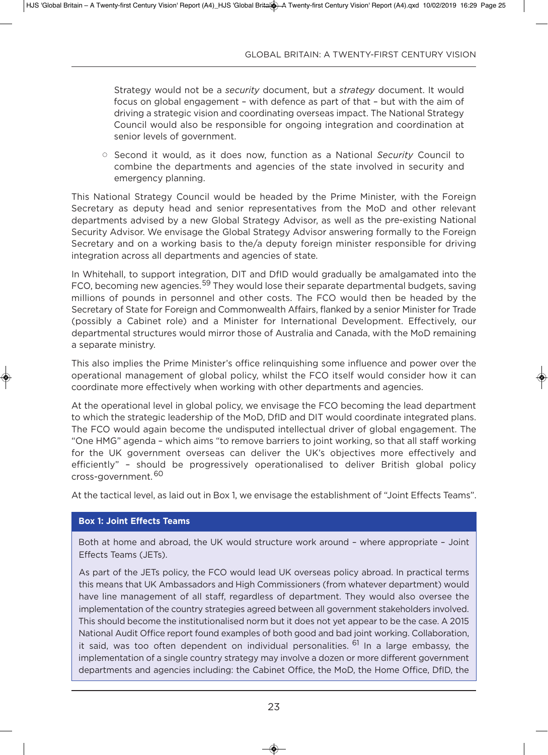Strategy would not be a *security* document, but a *strategy* document. it would focus on global engagement – with defence as part of that – but with the aim of driving a strategic vision and coordinating overseas impact. The National Strategy Council would also be responsible for ongoing integration and coordination at senior levels of government.

<sup>o</sup> Second it would, as it does now, function as a National *Security* Council to combine the departments and agencies of the state involved in security and emergency planning.

This national Strategy Council would be headed by the Prime Minister, with the Foreign Secretary as deputy head and senior representatives from the MoD and other relevant departments advised by a new Global Strategy Advisor, as well as the pre-existing National Security Advisor. We envisage the Global Strategy Advisor answering formally to the Foreign Secretary and on a working basis to the/a deputy foreign minister responsible for driving integration across all departments and agencies of state.

In Whitehall, to support integration, DIT and DfID would gradually be amalgamated into the FCO, becoming new agencies.<sup>59</sup> They would lose their separate departmental budgets, saving millions of pounds in personnel and other costs. The FCo would then be headed by the Secretary of State for Foreign and Commonwealth affairs, flanked by a senior Minister for Trade (possibly a Cabinet role) and a Minister for International Development. Effectively, our departmental structures would mirror those of Australia and Canada, with the MoD remaining a separate ministry.

This also implies the Prime Minister's office relinquishing some influence and power over the operational management of global policy, whilst the FCo itself would consider how it can coordinate more effectively when working with other departments and agencies.

at the operational level in global policy, we envisage the FCo becoming the lead department to which the strategic leadership of the MoD, DfID and DIT would coordinate integrated plans. The FCo would again become the undisputed intellectual driver of global engagement. The "one HMg" agenda – which aims "to remove barriers to joint working, so that all staff working for the UK government overseas can deliver the UK's objectives more effectively and efficiently" – should be progressively operationalised to deliver British global policy cross-government.<sup>60</sup>

At the tactical level, as laid out in Box 1, we envisage the establishment of "Joint Effects Teams".

#### **Box 1: Joint Effects Teams**

Both at home and abroad, the UK would structure work around - where appropriate - Joint Effects Teams (JETs).

As part of the JETs policy, the FCO would lead UK overseas policy abroad. In practical terms this means that uK ambassadors and High Commissioners (from whatever department) would have line management of all staff, regardless of department. They would also oversee the implementation of the country strategies agreed between all government stakeholders involved. This should become the institutionalised norm but it does not yet appear to be the case. A 2015 national audit office report found examples of both good and bad joint working. Collaboration, it said, was too often dependent on individual personalities. <sup>61</sup> In a large embassy, the implementation of a single country strategy may involve a dozen or more different government departments and agencies including: the Cabinet Office, the MoD, the Home Office, DfID, the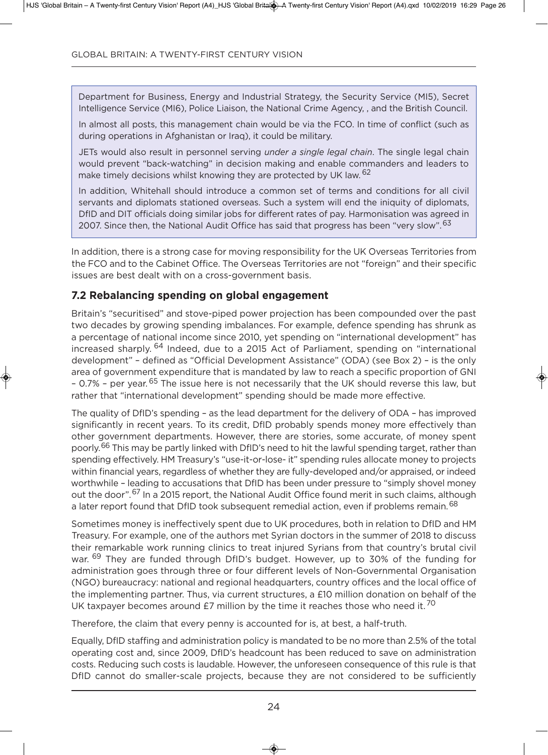Department for Business, Energy and Industrial Strategy, the Security Service (MI5), Secret Intelligence Service (MI6), Police Liaison, the National Crime Agency, , and the British Council.

in almost all posts, this management chain would be via the FCo. in time of conflict (such as during operations in afghanistan or iraq), it could be military.

JeTs would also result in personnel serving *under a single legal chain*. The single legal chain would prevent "back-watching" in decision making and enable commanders and leaders to make timely decisions whilst knowing they are protected by UK law. <sup>62</sup>

in addition, Whitehall should introduce a common set of terms and conditions for all civil servants and diplomats stationed overseas. Such a system will end the iniquity of diplomats, DfID and DIT officials doing similar jobs for different rates of pay. Harmonisation was agreed in 2007. Since then, the National Audit Office has said that progress has been "very slow". <sup>63</sup>

In addition, there is a strong case for moving responsibility for the UK Overseas Territories from the FCo and to the Cabinet office. The overseas Territories are not "foreign" and their specific issues are best dealt with on a cross-government basis.

### **7.2 rebalancing spending on global engagement**

Britain's "securitised" and stove-piped power projection has been compounded over the past two decades by growing spending imbalances. For example, defence spending has shrunk as a percentage of national income since 2010, yet spending on "international development" has increased sharply. <sup>64</sup> Indeed, due to a 2015 Act of Parliament, spending on "international development" - defined as "Official Development Assistance" (ODA) (see Box 2) - is the only area of government expenditure that is mandated by law to reach a specific proportion of GNI – 0.7% – per year. <sup>65</sup> The issue here is not necessarily that the UK should reverse this law, but rather that "international development" spending should be made more effective.

The quality of DfID's spending – as the lead department for the delivery of ODA – has improved significantly in recent years. To its credit, DfID probably spends money more effectively than other government departments. However, there are stories, some accurate, of money spent poorly.<sup>66</sup> This may be partly linked with DfID's need to hit the lawful spending target, rather than spending effectively. HM Treasury's "use-it-or-lose- it" spending rules allocate money to projects within financial years, regardless of whether they are fully-developed and/or appraised, or indeed worthwhile - leading to accusations that DfID has been under pressure to "simply shovel money out the door".<sup>67</sup> In a 2015 report, the National Audit Office found merit in such claims, although a later report found that DfID took subsequent remedial action, even if problems remain.<sup>68</sup>

Sometimes money is ineffectively spent due to UK procedures, both in relation to DfID and HM Treasury. For example, one of the authors met Syrian doctors in the summer of 2018 to discuss their remarkable work running clinics to treat injured Syrians from that country's brutal civil war. <sup>69</sup> They are funded through DfID's budget. However, up to 30% of the funding for administration goes through three or four different levels of Non-Governmental Organisation (ngo) bureaucracy: national and regional headquarters, country offices and the local office of the implementing partner. Thus, via current structures, a £10 million donation on behalf of the UK taxpayer becomes around £7 million by the time it reaches those who need it.  $^{70}$ 

Therefore, the claim that every penny is accounted for is, at best, a half-truth.

Equally, DfID staffing and administration policy is mandated to be no more than 2.5% of the total operating cost and, since 2009, DfID's headcount has been reduced to save on administration costs. Reducing such costs is laudable. However, the unforeseen consequence of this rule is that DfID cannot do smaller-scale projects, because they are not considered to be sufficiently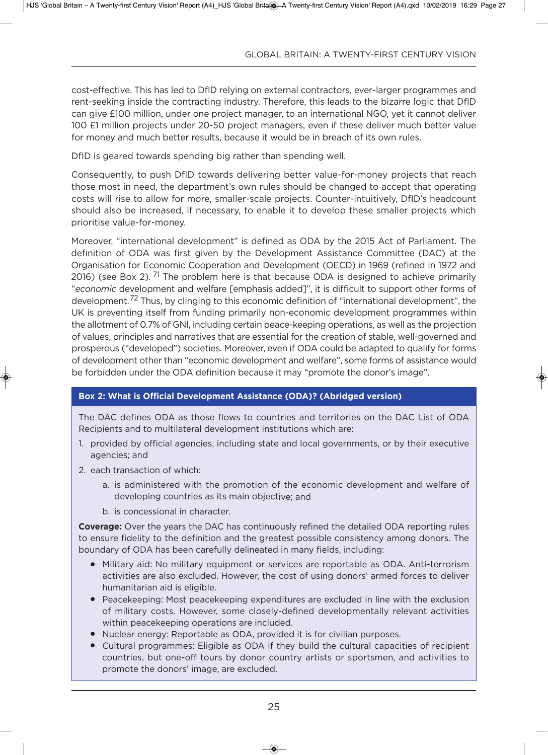cost-effective. This has led to DfID relying on external contractors, ever-larger programmes and rent-seeking inside the contracting industry. Therefore, this leads to the bizarre logic that DfID can give £100 million, under one project manager, to an international ngo, yet it cannot deliver 100 £1 million projects under 20-50 project managers, even if these deliver much better value for money and much better results, because it would be in breach of its own rules.

DfID is geared towards spending big rather than spending well.

Consequently, to push DfID towards delivering better value-for-money projects that reach those most in need, the department's own rules should be changed to accept that operating costs will rise to allow for more, smaller-scale projects. Counter-intuitively, DfID's headcount should also be increased, if necessary, to enable it to develop these smaller projects which prioritise value-for-money.

Moreover, "international development" is defined as ODA by the 2015 Act of Parliament. The definition of ODA was first given by the Development Assistance Committee (DAC) at the Organisation for Economic Cooperation and Development (OECD) in 1969 (refined in 1972 and 2016) (see Box 2). <sup>71</sup> The problem here is that because ODA is designed to achieve primarily "*economic* development and welfare [emphasis added]", it is difficult to support other forms of development.<sup>72</sup> Thus, by clinging to this economic definition of "international development", the UK is preventing itself from funding primarily non-economic development programmes within the allotment of 0.7% of GNI, including certain peace-keeping operations, as well as the projection of values, principles and narratives that are essential for the creation of stable, well-governed and prosperous ("developed") societies. Moreover, even if oda could be adapted to qualify for forms of development other than "economic development and welfare", some forms of assistance would be forbidden under the ODA definition because it may "promote the donor's image".

#### **box 2: what is official Development assistance (oDa)? (abridged version)**

The DAC defines ODA as those flows to countries and territories on the DAC List of ODA Recipients and to multilateral development institutions which are:

- 1. provided by official agencies, including state and local governments, or by their executive agencies; and
- 2. each transaction of which:
	- a. is administered with the promotion of the economic development and welfare of developing countries as its main objective; and
	- b. is concessional in character.

**Coverage:** Over the years the DAC has continuously refined the detailed ODA reporting rules to ensure fidelity to the definition and the greatest possible consistency among donors. The boundary of oda has been carefully delineated in many fields, including:

- Military aid: No military equipment or services are reportable as ODA. Anti-terrorism activities are also excluded. However, the cost of using donors' armed forces to deliver humanitarian aid is eligible.
- Peacekeeping: Most peacekeeping expenditures are excluded in line with the exclusion of military costs. However, some closely-defined developmentally relevant activities within peacekeeping operations are included.
- Nuclear energy: Reportable as ODA, provided it is for civilian purposes.
- Cultural programmes: Eligible as ODA if they build the cultural capacities of recipient countries, but one-off tours by donor country artists or sportsmen, and activities to promote the donors' image, are excluded.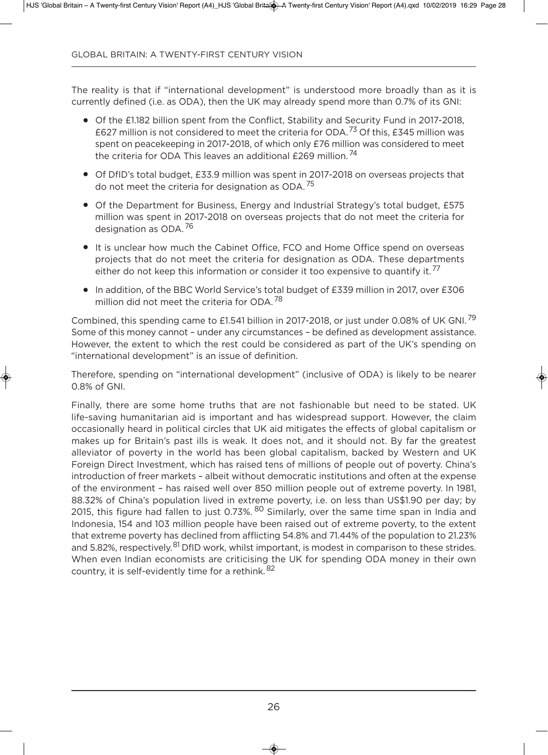The reality is that if "international development" is understood more broadly than as it is currently defined (i.e. as ODA), then the UK may already spend more than 0.7% of its GNI:

- Of the £1.182 billion spent from the Conflict, Stability and Security Fund in 2017-2018, £627 million is not considered to meet the criteria for ODA.<sup>73</sup> Of this. £345 million was spent on peacekeeping in 2017-2018, of which only £76 million was considered to meet the criteria for ODA This leaves an additional £269 million.<sup>74</sup>
- Of DfID's total budget, £33.9 million was spent in 2017-2018 on overseas projects that do not meet the criteria for designation as ODA. $^{75}$
- Of the Department for Business, Energy and Industrial Strategy's total budget, £575 million was spent in 2017-2018 on overseas projects that do not meet the criteria for designation as ODA.<sup>76</sup>
- It is unclear how much the Cabinet Office, FCO and Home Office spend on overseas projects that do not meet the criteria for designation as ODA. These departments either do not keep this information or consider it too expensive to quantify it.<sup>77</sup>
- In addition, of the BBC World Service's total budget of £339 million in 2017, over £306 million did not meet the criteria for ODA.<sup>78</sup>

Combined, this spending came to £1.541 billion in 2017-2018, or just under 0.08% of UK GNI.<sup>79</sup> Some of this money cannot – under any circumstances – be defined as development assistance. However, the extent to which the rest could be considered as part of the uK's spending on "international development" is an issue of definition.

Therefore, spending on "international development" (inclusive of ODA) is likely to be nearer 0.8% of GNI.

Finally, there are some home truths that are not fashionable but need to be stated. UK life-saving humanitarian aid is important and has widespread support. However, the claim occasionally heard in political circles that UK aid mitigates the effects of global capitalism or makes up for Britain's past ills is weak. it does not, and it should not. By far the greatest alleviator of poverty in the world has been global capitalism, backed by Western and uK Foreign Direct Investment, which has raised tens of millions of people out of poverty. China's introduction of freer markets – albeit without democratic institutions and often at the expense of the environment – has raised well over 850 million people out of extreme poverty. in 1981, 88.32% of China's population lived in extreme poverty, i.e. on less than uS\$1.90 per day; by 2015, this figure had fallen to just 0.73%. <sup>80</sup> Similarly, over the same time span in India and indonesia, 154 and 103 million people have been raised out of extreme poverty, to the extent that extreme poverty has declined from afflicting 54.8% and 71.44% of the population to 21.23% and 5.82%, respectively.<sup>81</sup> DfID work, whilst important, is modest in comparison to these strides. When even Indian economists are criticising the UK for spending ODA money in their own country, it is self-evidently time for a rethink. <sup>82</sup>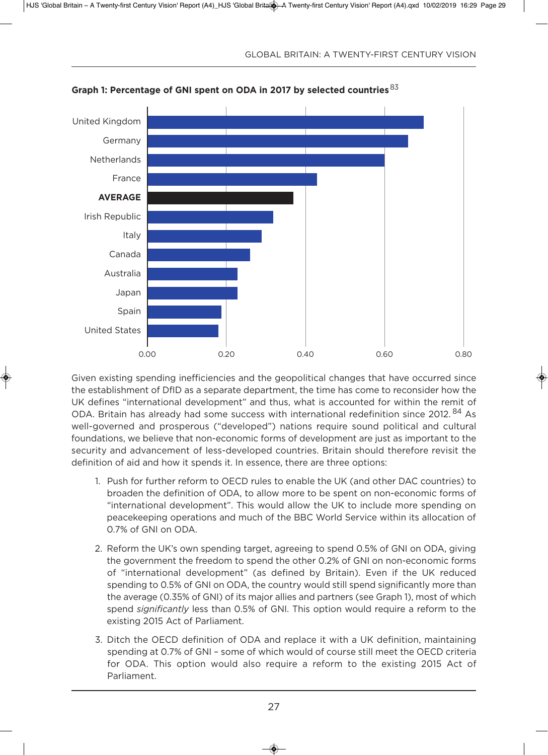

**Graph 1: Percentage of Gni spent on oDa in 2017 by selected countries**<sup>83</sup>

given existing spending inefficiencies and the geopolitical changes that have occurred since the establishment of DfID as a separate department, the time has come to reconsider how the UK defines "international development" and thus, what is accounted for within the remit of ODA. Britain has already had some success with international redefinition since 2012.<sup>84</sup> As well-governed and prosperous ("developed") nations require sound political and cultural foundations, we believe that non-economic forms of development are just as important to the security and advancement of less-developed countries. Britain should therefore revisit the definition of aid and how it spends it. in essence, there are three options:

- 1. Push for further reform to OECD rules to enable the UK (and other DAC countries) to broaden the definition of oda, to allow more to be spent on non-economic forms of "international development". This would allow the uK to include more spending on peacekeeping operations and much of the BBC World Service within its allocation of 0.7% of GNI on ODA.
- 2. Reform the UK's own spending target, agreeing to spend 0.5% of GNI on ODA, giving the government the freedom to spend the other 0.2% of GNI on non-economic forms of "international development" (as defined by Britain). even if the uK reduced spending to 0.5% of GNI on ODA, the country would still spend significantly more than the average (0.35% of GNI) of its major allies and partners (see Graph 1), most of which spend *significantly* less than 0.5% of GNI. This option would require a reform to the existing 2015 Act of Parliament.
- 3. Ditch the OECD definition of ODA and replace it with a UK definition, maintaining spending at 0.7% of GNI - some of which would of course still meet the OECD criteria for ODA. This option would also require a reform to the existing 2015 Act of Parliament.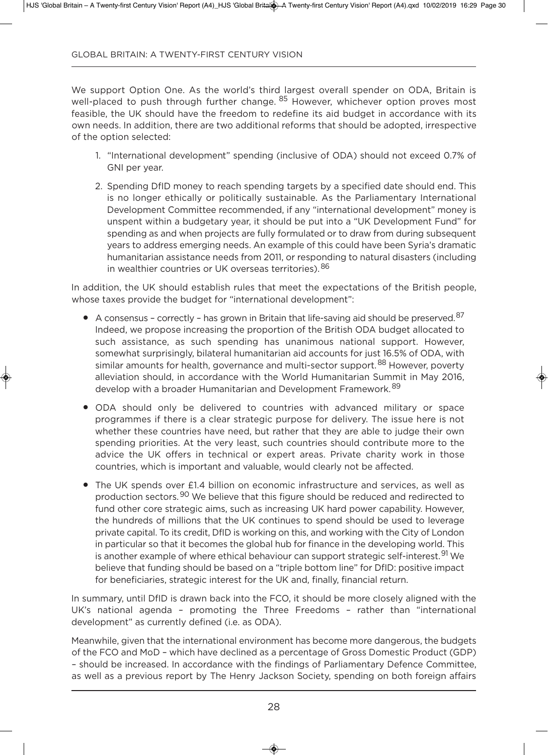We support Option One. As the world's third largest overall spender on ODA, Britain is well-placed to push through further change. <sup>85</sup> However, whichever option proves most feasible, the uK should have the freedom to redefine its aid budget in accordance with its own needs. in addition, there are two additional reforms that should be adopted, irrespective of the option selected:

- 1. "international development" spending (inclusive of oda) should not exceed 0.7% of GNI per vear.
- 2. Spending DfID money to reach spending targets by a specified date should end. This is no longer ethically or politically sustainable. as the Parliamentary international Development Committee recommended, if any "international development" money is unspent within a budgetary year, it should be put into a "UK Development Fund" for spending as and when projects are fully formulated or to draw from during subsequent years to address emerging needs. an example of this could have been Syria's dramatic humanitarian assistance needs from 2011, or responding to natural disasters (including in wealthier countries or UK overseas territories). 86

In addition, the UK should establish rules that meet the expectations of the British people, whose taxes provide the budget for "international development":

- $\bullet$  A consensus correctly has grown in Britain that life-saving aid should be preserved.<sup>87</sup> Indeed, we propose increasing the proportion of the British ODA budget allocated to such assistance, as such spending has unanimous national support. However, somewhat surprisingly, bilateral humanitarian aid accounts for just 16.5% of ODA, with similar amounts for health, governance and multi-sector support.<sup>88</sup> However, poverty alleviation should, in accordance with the World Humanitarian Summit in May 2016, develop with a broader Humanitarian and Development Framework. <sup>89</sup>
- ODA should only be delivered to countries with advanced military or space programmes if there is a clear strategic purpose for delivery. The issue here is not whether these countries have need, but rather that they are able to judge their own spending priorities. at the very least, such countries should contribute more to the advice the uK offers in technical or expert areas. Private charity work in those countries, which is important and valuable, would clearly not be affected.
- The UK spends over £1.4 billion on economic infrastructure and services, as well as production sectors.<sup>90</sup> We believe that this figure should be reduced and redirected to fund other core strategic aims, such as increasing UK hard power capability. However, the hundreds of millions that the UK continues to spend should be used to leverage private capital. To its credit, DfID is working on this, and working with the City of London in particular so that it becomes the global hub for finance in the developing world. This is another example of where ethical behaviour can support strategic self-interest. <sup>91</sup> We believe that funding should be based on a "triple bottom line" for dfid: positive impact for beneficiaries, strategic interest for the UK and, finally, financial return.

In summary, until DfID is drawn back into the FCO, it should be more closely aligned with the UK's national agenda - promoting the Three Freedoms - rather than "international development" as currently defined (*i.e.* as ODA).

Meanwhile, given that the international environment has become more dangerous, the budgets of the FCO and MoD - which have declined as a percentage of Gross Domestic Product (GDP) – should be increased. in accordance with the findings of Parliamentary defence Committee, as well as a previous report by The Henry Jackson Society, spending on both foreign affairs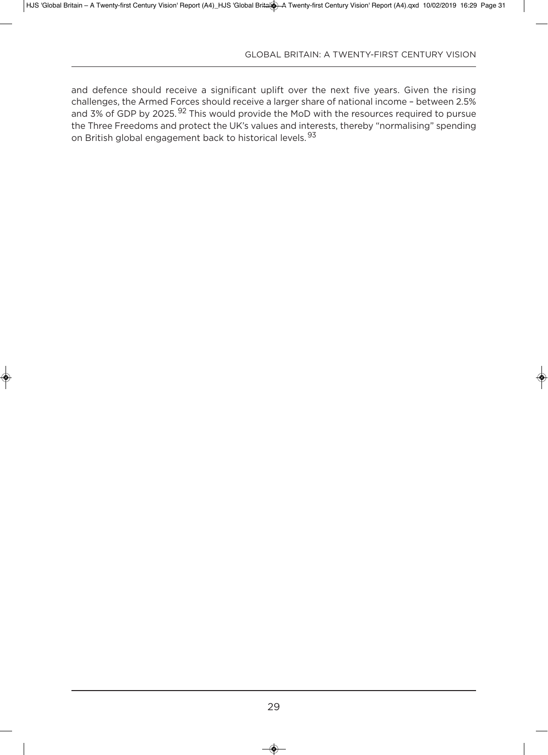and defence should receive a significant uplift over the next five years. Given the rising challenges, the Armed Forces should receive a larger share of national income - between 2.5% and 3% of GDP by 2025.<sup>92</sup> This would provide the MoD with the resources required to pursue the Three Freedoms and protect the UK's values and interests, thereby "normalising" spending on British global engagement back to historical levels.<sup>93</sup>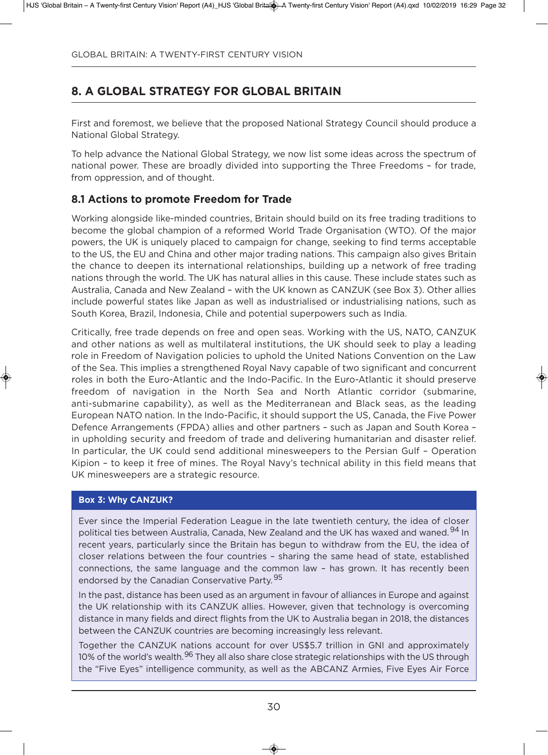# **8. a Global strateGy for Global britain**

First and foremost, we believe that the proposed national Strategy Council should produce a National Global Strategy.

To help advance the National Global Strategy, we now list some ideas across the spectrum of national power. These are broadly divided into supporting the Three Freedoms – for trade, from oppression, and of thought.

## **8.1 Actions to promote Freedom for Trade**

Working alongside like-minded countries, Britain should build on its free trading traditions to become the global champion of a reformed World Trade Organisation (WTO). Of the major powers, the uK is uniquely placed to campaign for change, seeking to find terms acceptable to the US, the EU and China and other major trading nations. This campaign also gives Britain the chance to deepen its international relationships, building up a network of free trading nations through the world. The uK has natural allies in this cause. These include states such as Australia, Canada and New Zealand - with the UK known as CANZUK (see Box 3). Other allies include powerful states like Japan as well as industrialised or industrialising nations, such as South Korea, Brazil, indonesia, Chile and potential superpowers such as india.

Critically, free trade depends on free and open seas. Working with the US, NATO, CANZUK and other nations as well as multilateral institutions, the UK should seek to play a leading role in Freedom of Navigation policies to uphold the United Nations Convention on the Law of the Sea. This implies a strengthened Royal navy capable of two significant and concurrent roles in both the Euro-Atlantic and the Indo-Pacific. In the Euro-Atlantic it should preserve freedom of navigation in the North Sea and North Atlantic corridor (submarine, anti-submarine capability), as well as the Mediterranean and Black seas, as the leading European NATO nation. In the Indo-Pacific, it should support the US, Canada, the Five Power Defence Arrangements (FPDA) allies and other partners - such as Japan and South Korea in upholding security and freedom of trade and delivering humanitarian and disaster relief. In particular, the UK could send additional minesweepers to the Persian Gulf - Operation Kipion - to keep it free of mines. The Royal Navy's technical ability in this field means that UK minesweepers are a strategic resource.

#### **box 3: why CanZuK?**

Ever since the Imperial Federation League in the late twentieth century, the idea of closer political ties between Australia, Canada, New Zealand and the UK has waxed and waned.<sup>94</sup> In recent years, particularly since the Britain has begun to withdraw from the EU, the idea of closer relations between the four countries – sharing the same head of state, established connections, the same language and the common law – has grown. it has recently been endorsed by the Canadian Conservative Party.<sup>95</sup>

In the past, distance has been used as an argument in favour of alliances in Europe and against the UK relationship with its CANZUK allies. However, given that technology is overcoming distance in many fields and direct flights from the UK to Australia began in 2018, the distances between the CanZuK countries are becoming increasingly less relevant.

Together the CANZUK nations account for over US\$5.7 trillion in GNI and approximately 10% of the world's wealth.<sup>96</sup> They all also share close strategic relationships with the US through the "Five Eyes" intelligence community, as well as the ABCANZ Armies, Five Eyes Air Force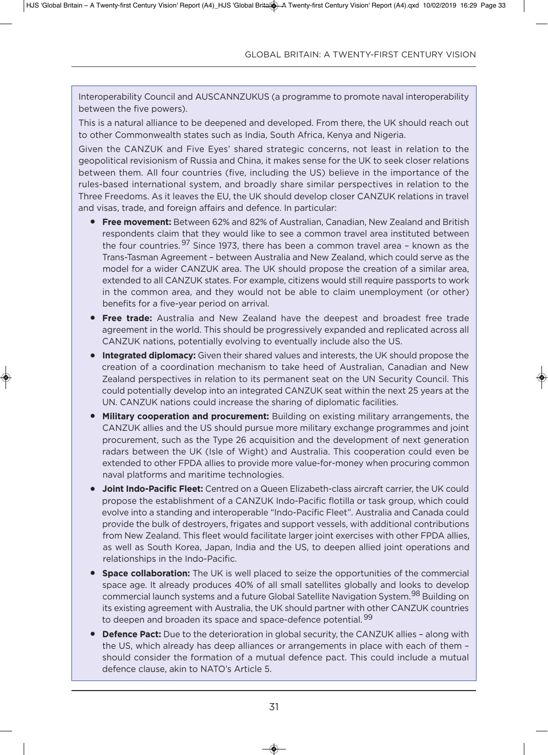interoperability Council and auSCannZuKuS (a programme to promote naval interoperability between the five powers).

This is a natural alliance to be deepened and developed. From there, the UK should reach out to other Commonwealth states such as India, South Africa, Kenya and Nigeria.

Given the CANZUK and Five Eyes' shared strategic concerns, not least in relation to the geopolitical revisionism of Russia and China, it makes sense for the UK to seek closer relations between them. All four countries (five, including the US) believe in the importance of the rules-based international system, and broadly share similar perspectives in relation to the Three Freedoms. As it leaves the EU, the UK should develop closer CANZUK relations in travel and visas, trade, and foreign affairs and defence. in particular:

- **Free movement:** Between 62% and 82% of Australian, Canadian, New Zealand and British respondents claim that they would like to see a common travel area instituted between the four countries. <sup>97</sup> Since 1973, there has been a common travel area - known as the Trans-Tasman agreement – between australia and new Zealand, which could serve as the model for a wider CANZUK area. The UK should propose the creation of a similar area, extended to all CanZuK states. For example, citizens would still require passports to work in the common area, and they would not be able to claim unemployment (or other) benefits for a five-year period on arrival.
- **Free trade:** Australia and New Zealand have the deepest and broadest free trade agreement in the world. This should be progressively expanded and replicated across all CANZUK nations, potentially evolving to eventually include also the US.
- **Integrated diplomacy:** Given their shared values and interests, the UK should propose the creation of a coordination mechanism to take heed of Australian, Canadian and New Zealand perspectives in relation to its permanent seat on the UN Security Council. This could potentially develop into an integrated CanZuK seat within the next 25 years at the UN. CANZUK nations could increase the sharing of diplomatic facilities.
- **Military cooperation and procurement:** Building on existing military arrangements, the CanZuK allies and the uS should pursue more military exchange programmes and joint procurement, such as the Type 26 acquisition and the development of next generation radars between the UK (Isle of Wight) and Australia. This cooperation could even be extended to other FPDA allies to provide more value-for-money when procuring common naval platforms and maritime technologies.
- **Joint Indo-Pacific Fleet:** Centred on a Queen Elizabeth-class aircraft carrier, the UK could propose the establishment of a CanZuK indo-Pacific flotilla or task group, which could evolve into a standing and interoperable "Indo-Pacific Fleet". Australia and Canada could provide the bulk of destroyers, frigates and support vessels, with additional contributions from New Zealand. This fleet would facilitate larger joint exercises with other FPDA allies, as well as South Korea, Japan, India and the US, to deepen allied joint operations and relationships in the indo-Pacific.
- **Space collaboration:** The UK is well placed to seize the opportunities of the commercial space age. it already produces 40% of all small satellites globally and looks to develop commercial launch systems and a future Global Satellite Navigation System.<sup>98</sup> Building on its existing agreement with Australia, the UK should partner with other CANZUK countries to deepen and broaden its space and space-defence potential.<sup>99</sup>
- **Defence Pact:** Due to the deterioration in global security, the CANZUK allies along with the US, which already has deep alliances or arrangements in place with each of them should consider the formation of a mutual defence pact. This could include a mutual defence clause, akin to naTo's article 5.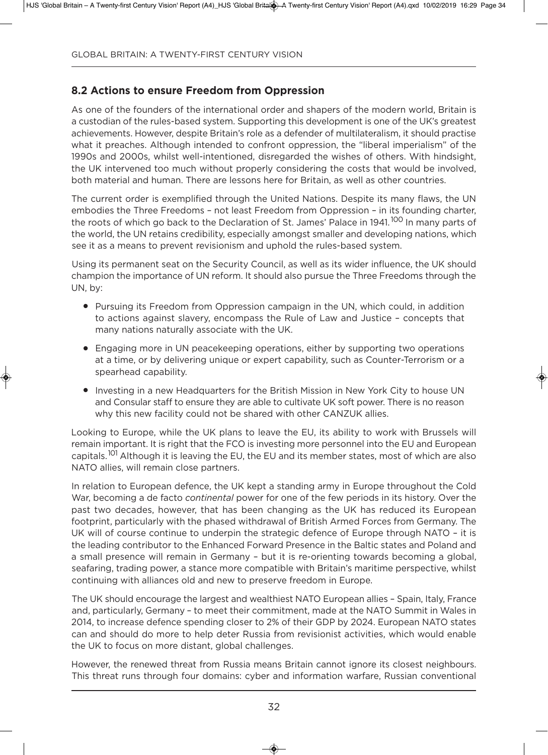## **8.2 actions to ensure freedom from oppression**

As one of the founders of the international order and shapers of the modern world, Britain is a custodian of the rules-based system. Supporting this development is one of the UK's greatest achievements. However, despite Britain's role as a defender of multilateralism, it should practise what it preaches. although intended to confront oppression, the "liberal imperialism" of the 1990s and 2000s, whilst well-intentioned, disregarded the wishes of others. With hindsight, the UK intervened too much without properly considering the costs that would be involved, both material and human. There are lessons here for Britain, as well as other countries.

The current order is exemplified through the United Nations. Despite its many flaws, the UN embodies the Three Freedoms – not least Freedom from oppression – in its founding charter, the roots of which go back to the Declaration of St. James' Palace in 1941.<sup>100</sup> In many parts of the world, the UN retains credibility, especially amongst smaller and developing nations, which see it as a means to prevent revisionism and uphold the rules-based system.

Using its permanent seat on the Security Council, as well as its wider influence, the UK should champion the importance of UN reform. It should also pursue the Three Freedoms through the un, by:

- Pursuing its Freedom from Oppression campaign in the UN, which could, in addition to actions against slavery, encompass the Rule of law and Justice – concepts that many nations naturally associate with the UK.
- Engaging more in UN peacekeeping operations, either by supporting two operations at a time, or by delivering unique or expert capability, such as Counter-Terrorism or a spearhead capability.
- Investing in a new Headquarters for the British Mission in New York City to house UN and Consular staff to ensure they are able to cultivate UK soft power. There is no reason why this new facility could not be shared with other CANZUK allies.

Looking to Europe, while the UK plans to leave the EU, its ability to work with Brussels will remain important. It is right that the FCO is investing more personnel into the EU and European capitals.<sup>101</sup> Although it is leaving the EU, the EU and its member states, most of which are also NATO allies, will remain close partners.

In relation to European defence, the UK kept a standing army in Europe throughout the Cold War, becoming a de facto *continental* power for one of the few periods in its history. Over the past two decades, however, that has been changing as the UK has reduced its European footprint, particularly with the phased withdrawal of British Armed Forces from Germany. The UK will of course continue to underpin the strategic defence of Europe through NATO - it is the leading contributor to the Enhanced Forward Presence in the Baltic states and Poland and a small presence will remain in germany – but it is re-orienting towards becoming a global, seafaring, trading power, a stance more compatible with Britain's maritime perspective, whilst continuing with alliances old and new to preserve freedom in Europe.

The UK should encourage the largest and wealthiest NATO European allies - Spain, Italy, France and, particularly, Germany – to meet their commitment, made at the NATO Summit in Wales in 2014, to increase defence spending closer to 2% of their GDP by 2024. European NATO states can and should do more to help deter Russia from revisionist activities, which would enable the uK to focus on more distant, global challenges.

However, the renewed threat from Russia means Britain cannot ignore its closest neighbours. This threat runs through four domains: cyber and information warfare, Russian conventional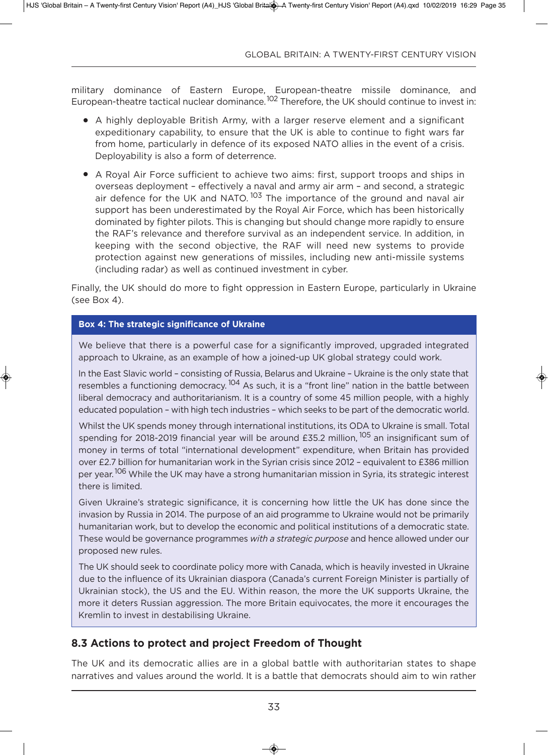military dominance of Eastern Europe, European-theatre missile dominance, and European-theatre tactical nuclear dominance.<sup>102</sup> Therefore, the UK should continue to invest in:

- A highly deployable British Army, with a larger reserve element and a significant expeditionary capability, to ensure that the UK is able to continue to fight wars far from home, particularly in defence of its exposed NATO allies in the event of a crisis. Deployability is also a form of deterrence.
- A Royal Air Force sufficient to achieve two aims: first, support troops and ships in overseas deployment – effectively a naval and army air arm – and second, a strategic air defence for the UK and NATO.<sup>103</sup> The importance of the ground and naval air support has been underestimated by the Royal Air Force, which has been historically dominated by fighter pilots. This is changing but should change more rapidly to ensure the RaF's relevance and therefore survival as an independent service. in addition, in keeping with the second objective, the RaF will need new systems to provide protection against new generations of missiles, including new anti-missile systems (including radar) as well as continued investment in cyber.

Finally, the UK should do more to fight oppression in Eastern Europe, particularly in Ukraine (see Box 4).

#### **box 4: the strategic significance of ukraine**

We believe that there is a powerful case for a significantly improved, upgraded integrated approach to Ukraine, as an example of how a joined-up UK global strategy could work.

In the East Slavic world - consisting of Russia, Belarus and Ukraine - Ukraine is the only state that resembles a functioning democracy.<sup>104</sup> As such, it is a "front line" nation in the battle between liberal democracy and authoritarianism. it is a country of some 45 million people, with a highly educated population – with high tech industries – which seeks to be part of the democratic world.

Whilst the UK spends money through international institutions, its ODA to Ukraine is small. Total spending for 2018-2019 financial year will be around £35.2 million, <sup>105</sup> an insignificant sum of money in terms of total "international development" expenditure, when Britain has provided over £2.7 billion for humanitarian work in the Syrian crisis since 2012 – equivalent to £386 million per vear.<sup>106</sup> While the UK may have a strong humanitarian mission in Syria, its strategic interest there is limited.

Given Ukraine's strategic significance, it is concerning how little the UK has done since the invasion by Russia in 2014. The purpose of an aid programme to Ukraine would not be primarily humanitarian work, but to develop the economic and political institutions of a democratic state. These would be governance programmes *with a strategic purpose* and hence allowed under our proposed new rules.

The UK should seek to coordinate policy more with Canada, which is heavily invested in Ukraine due to the influence of its Ukrainian diaspora (Canada's current Foreign Minister is partially of Ukrainian stock), the US and the EU. Within reason, the more the UK supports Ukraine, the more it deters Russian aggression. The more Britain equivocates, the more it encourages the Kremlin to invest in destabilising Ukraine.

## **8.3 actions to protect and project freedom of thought**

The UK and its democratic allies are in a global battle with authoritarian states to shape narratives and values around the world. it is a battle that democrats should aim to win rather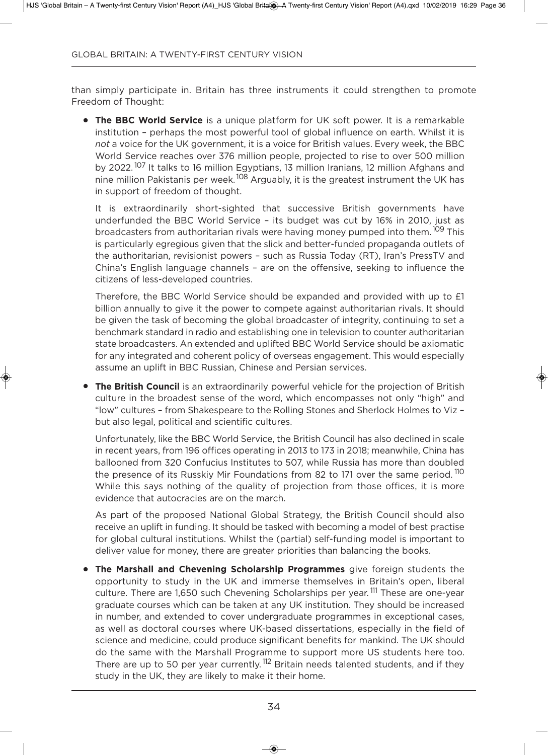than simply participate in. Britain has three instruments it could strengthen to promote Freedom of Thought:

**• The BBC World Service** is a unique platform for UK soft power. It is a remarkable institution – perhaps the most powerful tool of global influence on earth. Whilst it is *not* a voice for the UK government, it is a voice for British values. Every week, the BBC World Service reaches over 376 million people, projected to rise to over 500 million by 2022.<sup>107</sup> It talks to 16 million Egyptians, 13 million Iranians, 12 million Afghans and nine million Pakistanis per week.<sup>108</sup> Arguably, it is the greatest instrument the UK has in support of freedom of thought.

it is extraordinarily short-sighted that successive British governments have underfunded the BBC World Service – its budget was cut by 16% in 2010, just as broadcasters from authoritarian rivals were having money pumped into them.<sup>109</sup> This is particularly egregious given that the slick and better-funded propaganda outlets of the authoritarian, revisionist powers – such as Russia Today (RT), iran's PressTV and China's English language channels - are on the offensive, seeking to influence the citizens of less-developed countries.

Therefore, the BBC World Service should be expanded and provided with up to £1 billion annually to give it the power to compete against authoritarian rivals. it should be given the task of becoming the global broadcaster of integrity, continuing to set a benchmark standard in radio and establishing one in television to counter authoritarian state broadcasters. an extended and uplifted BBC World Service should be axiomatic for any integrated and coherent policy of overseas engagement. This would especially assume an uplift in BBC Russian, Chinese and Persian services.

**• The British Council** is an extraordinarily powerful vehicle for the projection of British culture in the broadest sense of the word, which encompasses not only "high" and "low" cultures – from Shakespeare to the Rolling Stones and Sherlock Holmes to Viz – but also legal, political and scientific cultures.

unfortunately, like the BBC World Service, the British Council has also declined in scale in recent years, from 196 offices operating in 2013 to 173 in 2018; meanwhile, China has ballooned from 320 Confucius institutes to 507, while Russia has more than doubled the presence of its Russkiy Mir Foundations from 82 to 171 over the same period.<sup>110</sup> While this says nothing of the quality of projection from those offices, it is more evidence that autocracies are on the march.

As part of the proposed National Global Strategy, the British Council should also receive an uplift in funding. it should be tasked with becoming a model of best practise for global cultural institutions. Whilst the (partial) self-funding model is important to deliver value for money, there are greater priorities than balancing the books.

**• The Marshall and Chevening Scholarship Programmes** give foreign students the opportunity to study in the uK and immerse themselves in Britain's open, liberal culture. There are 1,650 such Chevening Scholarships per year.<sup>111</sup> These are one-year graduate courses which can be taken at any uK institution. They should be increased in number, and extended to cover undergraduate programmes in exceptional cases, as well as doctoral courses where uK-based dissertations, especially in the field of science and medicine, could produce significant benefits for mankind. The UK should do the same with the Marshall Programme to support more US students here too. There are up to 50 per year currently.<sup>112</sup> Britain needs talented students, and if they study in the UK, they are likely to make it their home.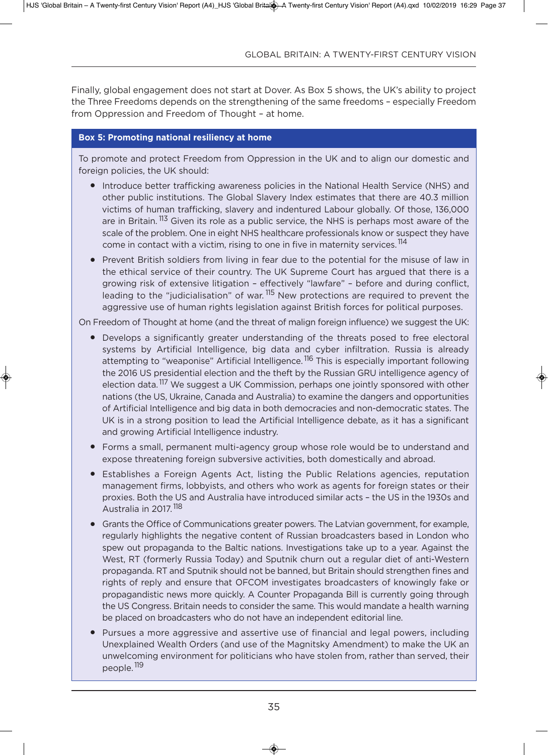Finally, global engagement does not start at Dover. As Box 5 shows, the UK's ability to project the Three Freedoms depends on the strengthening of the same freedoms – especially Freedom from oppression and Freedom of Thought – at home.

#### **box 5: Promoting national resiliency at home**

To promote and protect Freedom from oppression in the uK and to align our domestic and foreign policies, the UK should:

- Introduce better trafficking awareness policies in the National Health Service (NHS) and other public institutions. The global Slavery index estimates that there are 40.3 million victims of human trafficking, slavery and indentured labour globally. of those, 136,000 are in Britain. <sup>113</sup> Given its role as a public service, the NHS is perhaps most aware of the scale of the problem. One in eight NHS healthcare professionals know or suspect they have come in contact with a victim, rising to one in five in maternity services.<sup>114</sup>
- Prevent British soldiers from living in fear due to the potential for the misuse of law in the ethical service of their country. The UK Supreme Court has argued that there is a growing risk of extensive litigation – effectively "lawfare" – before and during conflict, leading to the "judicialisation" of war.<sup>115</sup> New protections are required to prevent the aggressive use of human rights legislation against British forces for political purposes.

On Freedom of Thought at home (and the threat of malign foreign influence) we suggest the UK:

- Develops a significantly greater understanding of the threats posed to free electoral systems by artificial intelligence, big data and cyber infiltration. Russia is already attempting to "weaponise" Artificial Intelligence.<sup>116</sup> This is especially important following the 2016 US presidential election and the theft by the Russian GRU intelligence agency of election data.<sup>117</sup> We suggest a UK Commission, perhaps one jointly sponsored with other nations (the US, Ukraine, Canada and Australia) to examine the dangers and opportunities of artificial intelligence and big data in both democracies and non-democratic states. The UK is in a strong position to lead the Artificial Intelligence debate, as it has a significant and growing Artificial Intelligence industry.
- Forms a small, permanent multi-agency group whose role would be to understand and expose threatening foreign subversive activities, both domestically and abroad.
- Establishes a Foreign Agents Act, listing the Public Relations agencies, reputation management firms, lobbyists, and others who work as agents for foreign states or their proxies. Both the US and Australia have introduced similar acts - the US in the 1930s and Australia in 2017.<sup>118</sup>
- Grants the Office of Communications greater powers. The Latvian government, for example, regularly highlights the negative content of Russian broadcasters based in london who spew out propaganda to the Baltic nations. Investigations take up to a year. Against the West, RT (formerly Russia Today) and Sputnik churn out a regular diet of anti-Western propaganda. RT and Sputnik should not be banned, but Britain should strengthen fines and rights of reply and ensure that oFCoM investigates broadcasters of knowingly fake or propagandistic news more quickly. a Counter Propaganda Bill is currently going through the uS Congress. Britain needs to consider the same. This would mandate a health warning be placed on broadcasters who do not have an independent editorial line.
- Pursues a more aggressive and assertive use of financial and legal powers, including Unexplained Wealth Orders (and use of the Magnitsky Amendment) to make the UK an unwelcoming environment for politicians who have stolen from, rather than served, their people.<sup>119</sup>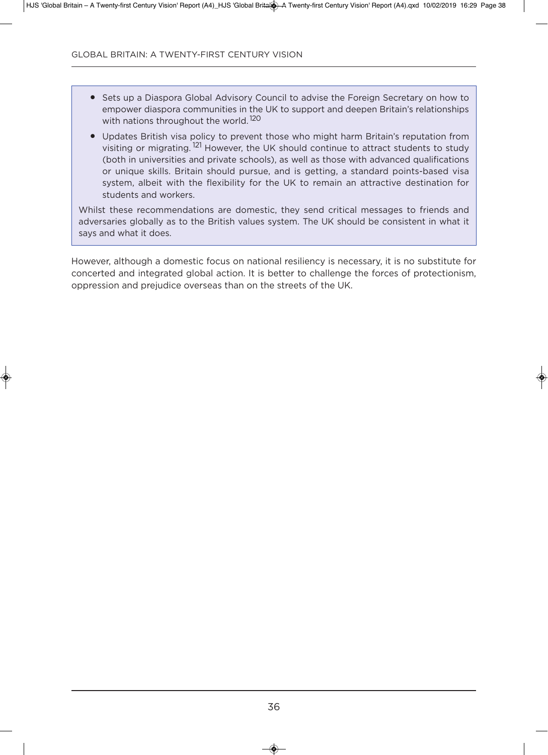- Sets up a Diaspora Global Advisory Council to advise the Foreign Secretary on how to empower diaspora communities in the UK to support and deepen Britain's relationships with nations throughout the world.<sup>120</sup>
- Updates British visa policy to prevent those who might harm Britain's reputation from visiting or migrating.<sup>121</sup> However, the UK should continue to attract students to study (both in universities and private schools), as well as those with advanced qualifications or unique skills. Britain should pursue, and is getting, a standard points-based visa system, albeit with the flexibility for the UK to remain an attractive destination for students and workers.

Whilst these recommendations are domestic, they send critical messages to friends and adversaries globally as to the British values system. The UK should be consistent in what it says and what it does.

However, although a domestic focus on national resiliency is necessary, it is no substitute for concerted and integrated global action. it is better to challenge the forces of protectionism, oppression and prejudice overseas than on the streets of the uK.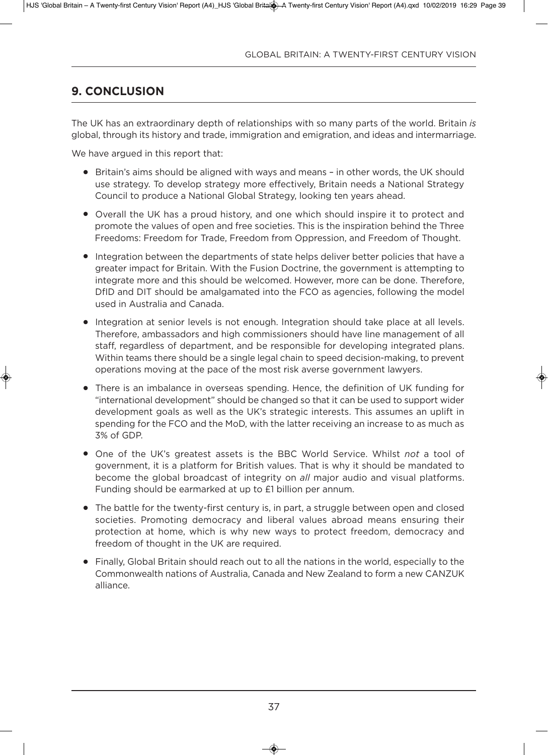# **9. ConClusion**

The uK has an extraordinary depth of relationships with so many parts of the world. Britain *is* global, through its history and trade, immigration and emigration, and ideas and intermarriage.

We have argued in this report that:

- Britain's aims should be aligned with ways and means in other words, the UK should use strategy. To develop strategy more effectively, Britain needs a National Strategy Council to produce a National Global Strategy, looking ten years ahead.
- Overall the UK has a proud history, and one which should inspire it to protect and promote the values of open and free societies. This is the inspiration behind the Three Freedoms: Freedom for Trade, Freedom from oppression, and Freedom of Thought.
- Integration between the departments of state helps deliver better policies that have a greater impact for Britain. With the Fusion Doctrine, the government is attempting to integrate more and this should be welcomed. However, more can be done. Therefore, DfID and DIT should be amalgamated into the FCO as agencies, following the model used in Australia and Canada.
- Integration at senior levels is not enough. Integration should take place at all levels. Therefore, ambassadors and high commissioners should have line management of all staff, regardless of department, and be responsible for developing integrated plans. Within teams there should be a single legal chain to speed decision-making, to prevent operations moving at the pace of the most risk averse government lawyers.
- There is an imbalance in overseas spending. Hence, the definition of UK funding for "international development" should be changed so that it can be used to support wider development goals as well as the UK's strategic interests. This assumes an uplift in spending for the FCO and the MoD, with the latter receiving an increase to as much as 3% of gdP.
- One of the UK's greatest assets is the BBC World Service. Whilst *not* a tool of government, it is a platform for British values. That is why it should be mandated to become the global broadcast of integrity on *all* major audio and visual platforms. Funding should be earmarked at up to £1 billion per annum.
- $\bullet$  The battle for the twenty-first century is, in part, a struggle between open and closed societies. Promoting democracy and liberal values abroad means ensuring their protection at home, which is why new ways to protect freedom, democracy and freedom of thought in the UK are required.
- Finally, Global Britain should reach out to all the nations in the world, especially to the Commonwealth nations of Australia, Canada and New Zealand to form a new CANZUK alliance.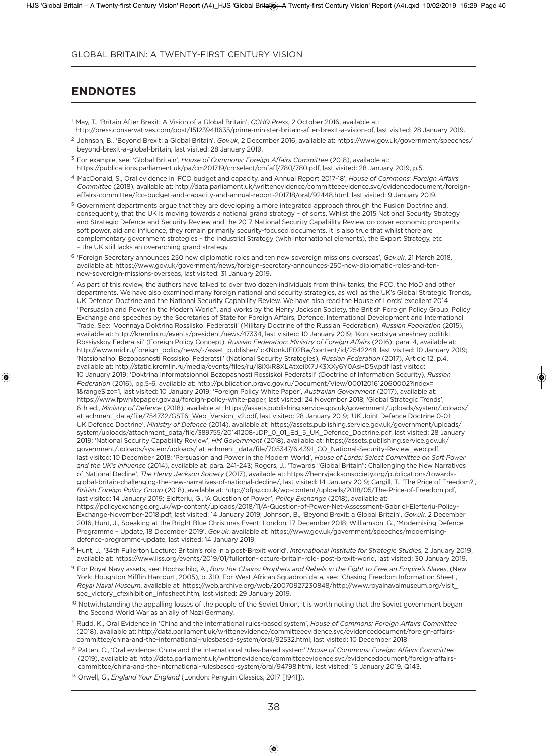## **enDnotes**

- <sup>1</sup> May, T., 'Britain after Brexit: a Vision of a global Britain', *CCHQ Press*, 2 october 2016, available at: http://press.conservatives.com/post/151239411635/prime-minister-britain-after-brexit-a-vision-of, last visited: 28 January 2019.
- <sup>2</sup> Johnson, B., 'Beyond Brexit: a Global Britain', *Gov.uk*, 2 December 2016, available at: https://www.gov.uk/government/speeches/ beyond-brexit-a-global-britain, last visited: 28 January 2019.
- <sup>3</sup> For example, see: 'global Britain', *House of Commons: Foreign Affairs Committee* (2018), available at: https://publications.parliament.uk/pa/cm201719/cmselect/cmfaff/780/780.pdf, last visited: 28 January 2019, p.5.
- <sup>4</sup> Macdonald, S., oral evidence in 'FCo budget and capacity, and annual Report 2017-18', *House of Commons: Foreign Affairs Committee* (2018), available at: http://data.parliament.uk/writtenevidence/committeeevidence.svc/evidencedocument/foreignaffairs-committee/fco-budget-and-capacity-and-annual-report-201718/oral/92448.html, last visited: 9 January 2019.
- <sup>5</sup> Government departments argue that they are developing a more integrated approach through the Fusion Doctrine and, consequently, that the UK is moving towards a national grand strategy - of sorts. Whilst the 2015 National Security Strategy and Strategic Defence and Security Review and the 2017 National Security Capability Review do cover economic prosperity, soft power, aid and influence, they remain primarily security-focused documents. it is also true that whilst there are complementary government strategies - the Industrial Strategy (with international elements), the Export Strategy, etc - the UK still lacks an overarching grand strategy.
- <sup>6</sup> 'Foreign Secretary announces 250 new diplomatic roles and ten new sovereign missions overseas', *Gov.uk*, 21 March 2018, available at: https://www.gov.uk/government/news/foreign-secretary-announces-250-new-diplomatic-roles-and-tennew-sovereign-missions-overseas, last visited: 31 January 2019.
- $7$  As part of this review, the authors have talked to over two dozen individuals from think tanks, the FCO, the MoD and other departments. We have also examined many foreign national and security strategies, as well as the UK's Global Strategic Trends, UK Defence Doctrine and the National Security Capability Review. We have also read the House of Lords' excellent 2014 "Persuasion and Power in the Modern World", and works by the Henry Jackson Society, the British Foreign Policy group, Policy Exchange and speeches by the Secretaries of State for Foreign Affairs, Defence, International Development and International Trade. See: 'Voennaya Doktrina Rossiiskoi Federatsii' (Military Doctrine of the Russian Federation), *Russian Federation* (2015), available at: http://kremlin.ru/events/president/news/47334, last visited: 10 January 2019; 'Kontseptsiya vneshney politiki Rossiyskoy Federatsii' (Foreign Policy Concept), *Russian Federation: Ministry of Foreign Affairs* (2016), para. 4, available at: http://www.mid.ru/foreign\_policy/news/-/asset\_publisher/ cKnonkJe02Bw/content/id/2542248, last visited: 10 January 2019; 'natsionalnoi Bezopasnosti Rossiskoi Federatsii' (national Security Strategies), *Russian Federation* (2017), article 12, p.4, available at: http://static.kremlin.ru/media/events/files/ru/l8iXkR8XLAtxeilX7JK3XXy6Y0AsHD5v.pdf last visited: 10 January 2019; 'doktrina informatsionnoi Bezopasnosti Rossiskoi Federatsii' (doctrine of information Security), *Russian* Federation (2016), pp.5-6, available at: http://publication.pravo.gov.ru/Document/View/0001201612060002?index= 1&rangeSize=1, last visited: 10 January 2019; 'Foreign Policy White Paper', *Australian Government* (2017), available at: https://www.fpwhitepaper.gov.au/foreign-policy-white-paper, last visited: 24 november 2018; 'global Strategic Trends', 6th ed., *Ministry of Defence* (2018), available at: https://assets.publishing.service.gov.uk/government/uploads/system/uploads/ attachment\_data/file/754732/GST6\_Web\_Version\_v2.pdf, last visited: 28 January 2019; 'UK Joint Defence Doctrine 0-01: uK defence doctrine', *Ministry of Defence* (2014), available at: https://assets.publishing.service.gov.uk/government/uploads/ system/uploads/attachment\_data/file/389755/20141208-JdP\_0\_01\_ed\_5\_uK\_defence\_doctrine.pdf, last visited: 28 January 2019; 'national Security Capability Review', *HM Government* (2018), available at: https://assets.publishing.service.gov.uk/ government/uploads/system/uploads/ attachment\_data/file/705347/6.4391\_Co\_national-Security-Review\_web.pdf, last visited: 10 december 2018; 'Persuasion and Power in the Modern World', *House of Lords: Select Committee on Soft Power* and the UK's influence (2014), available at: para. 241-243; Rogers, J., 'Towards "Global Britain": Challenging the New Narratives of National Decline', *The Henry Jackson Society* (2017), available at: https://henryjacksonsociety.org/publications/towardsglobal-britain-challenging-the-new-narratives-of-national-decline/, last visited: 14 January 2019; Cargill, T., 'The Price of Freedom?', *British Foreign Policy Group* (2018), available at: http://bfpg.co.uk/wp-content/uploads/2018/05/The-Price-of-Freedom.pdf, last visited: 14 January 2019; Elefteriu, G., 'A Question of Power', *Policy Exchange* (2018), available at: https://policyexchange.org.uk/wp-content/uploads/2018/11/a-Question-of-Power-net-assessment-gabriel-elefteriu-Policyexchange-november-2018.pdf, last visited: 14 January 2019; Johnson, B., 'Beyond Brexit: a global Britain', *Gov.uk*, 2 december
- 2016; Hunt, J., Speaking at the Bright Blue Christmas Event, London, 17 December 2018; Williamson, G., 'Modernising Defence Programme - Update, 18 December 2019', *Gov.uk*, available at: https://www.gov.uk/government/speeches/modernisingdefence-programme-update, last visited: 14 January 2019.
- <sup>8</sup> Hunt, J., '34th Fullerton lecture: Britain's role in a post-Brexit world', *International Institute for Strategic Studie*s, 2 January 2019, available at: https://www.iiss.org/events/2019/01/fullerton-lecture-britain-role- post-brexit-world, last visited: 30 January 2019.
- <sup>9</sup> For Royal Navy assets, see: Hochschild, A., *Bury the Chains: Prophets and Rebels in the Fight to Free an Empire's Slaves*, (New york: Houghton Mifflin Harcourt, 2005), p. 310. For West african Squadron data, see: 'Chasing Freedom information Sheet', *Royal Naval Museum*, available at: https://web.archive.org/web/20070927230848/http://www.royalnavalmuseum.org/visit\_ see\_victory\_cfexhibition\_infosheet.htm, last visited: 29 January 2019.
- <sup>10</sup> Notwithstanding the appalling losses of the people of the Soviet Union, it is worth noting that the Soviet government began the Second World War as an ally of Nazi Germany.
- <sup>11</sup> Rudd, K., oral evidence in 'China and the international rules-based system', *House of Commons: Foreign Affairs Committee* (2018), available at: http://data.parliament.uk/writtenevidence/committeeevidence.svc/evidencedocument/foreign-affairscommittee/china-and-the-international-rulesbased-system/oral/92532.html, last visited: 10 December 2018.
- <sup>12</sup> Patten, C., 'oral evidence: China and the international rules-based system' *House of Commons: Foreign Affairs Committee* (2019), available at: http://data.parliament.uk/writtenevidence/committeeevidence.svc/evidencedocument/foreign-affairscommittee/china-and-the-international-rulesbased-system/oral/94798.html, last visited: 15 January 2019, Q143.
- <sup>13</sup> Orwell, G., *England Your England* (London: Penguin Classics, 2017 [1941]).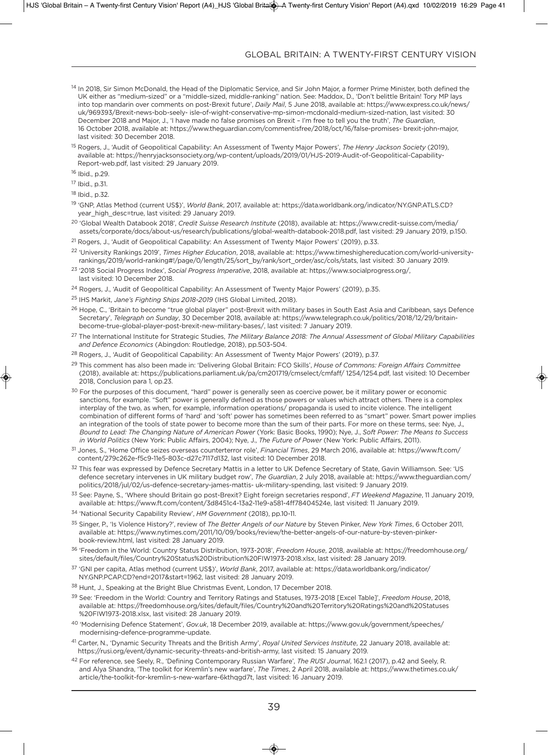- <sup>14</sup> In 2018, Sir Simon McDonald, the Head of the Diplomatic Service, and Sir John Major, a former Prime Minister, both defined the UK either as "medium-sized" or a "middle-sized, middle-ranking" nation. See: Maddox, D., 'Don't belittle Britain! Tory MP lays into top mandarin over comments on post-Brexit future', *Daily Mail*, 5 June 2018, available at: https://www.express.co.uk/news/ uk/969393/Brexit-news-bob-seely- isle-of-wight-conservative-mp-simon-mcdonald-medium-sized-nation, last visited: 30 December 2018 and Major, J., 'I have made no false promises on Brexit - I'm free to tell you the truth', The Guardian, 16 october 2018, available at: https://www.theguardian.com/commentisfree/2018/oct/16/false-promises- brexit-john-major, last visited: 30 December 2018.
- <sup>15</sup> Rogers, J., 'Audit of Geopolitical Capability: An Assessment of Twenty Major Powers', *The Henry Jackson Society* (2019), available at: https://henryjacksonsociety.org/wp-content/uploads/2019/01/HJS-2019-audit-of-geopolitical-Capability-Report-web.pdf, last visited: 29 January 2019.
- <sup>16</sup> ibid., p.29.
- <sup>17</sup> ibid., p.31.
- $18$  lhid. n.32.
- <sup>19</sup> 'GNP, Atlas Method (current US\$)', *World Bank*, 2017, available at: https://data.worldbank.org/indicator/NY.GNP.ATLS.CD? year\_high\_desc=true, last visited: 29 January 2019.
- <sup>20</sup> 'Global Wealth Databook 2018', *Credit Suisse Research Institute* (2018), available at: https://www.credit-suisse.com/media/ assets/corporate/docs/about-us/research/publications/global-wealth-databook-2018.pdf, last visited: 29 January 2019, p.150.
- <sup>21</sup> Rogers, J., 'Audit of Geopolitical Capability: An Assessment of Twenty Major Powers' (2019), p.33.
- <sup>22</sup> 'university Rankings 2019', *Times Higher Education*, 2018, available at: https://www.timeshighereducation.com/world-universityrankings/2019/world-ranking#!/page/0/length/25/sort\_by/rank/sort\_order/asc/cols/stats, last visited: 30 January 2019.
- <sup>23</sup> '2018 Social Progress index', *Social Progress Imperative*, 2018, available at: https://www.socialprogress.org/, last visited: 10 December 2018.
- <sup>24</sup> Rogers, J., 'Audit of Geopolitical Capability: An Assessment of Twenty Major Powers' (2019), p.35.
- <sup>25</sup> IHS Markit, *Jane's Fighting Ships 2018-2019* (IHS Global Limited, 2018).
- <sup>26</sup> Hope, C., 'Britain to become "true global player" post-Brexit with military bases in South East Asia and Caribbean, says Defence Secretary', *Telegraph on Sunday*, 30 december 2018, available at: https://www.telegraph.co.uk/politics/2018/12/29/britainbecome-true-global-player-post-brexit-new-military-bases/, last visited: 7 January 2019.
- <sup>27</sup> The international institute for Strategic Studies, *The Military Balance 2018: The Annual Assessment of Global Military Capabilities and Defence Economics* (abingdon: Routledge, 2018), pp.503-504.
- <sup>28</sup> Rogers, J., 'Audit of Geopolitical Capability: An Assessment of Twenty Major Powers' (2019), p.37.
- <sup>29</sup> This comment has also been made in: 'Delivering Global Britain: FCO Skills', *House of Commons: Foreign Affairs Committee* (2018), available at: https://publications.parliament.uk/pa/cm201719/cmselect/cmfaff/ 1254/1254.pdf, last visited: 10 december 2018, Conclusion para 1, op.23.
- <sup>30</sup> For the purposes of this document, "hard" power is generally seen as coercive power, be it military power or economic sanctions, for example. "Soft" power is generally defined as those powers or values which attract others. There is a complex interplay of the two, as when, for example, information operations/ propaganda is used to incite violence. The intelligent combination of different forms of 'hard' and 'soft' power has sometimes been referred to as "smart" power. Smart power implies an integration of the tools of state power to become more than the sum of their parts. For more on these terms, see: Nye, J., *Bound to Lead: The Changing Nature of American Power* (york: Basic Books, 1990); nye, J., *Soft Power: The Means to Success in World Politics* (new york: Public affairs, 2004); nye, J., *The Future of Power* (new york: Public affairs, 2011).
- <sup>31</sup> Jones, S., 'Home office seizes overseas counterterror role', *Financial Times*, 29 March 2016, available at: https://www.ft.com/ content/279c262e-f5c9-11e5-803c-d27c7117d132, last visited: 10 December 2018.
- 32 This fear was expressed by Defence Secretary Mattis in a letter to UK Defence Secretary of State, Gavin Williamson. See: 'US defence secretary intervenes in uK military budget row', *The Guardian*, 2 July 2018, available at: https://www.theguardian.com/ politics/2018/jul/02/us-defence-secretary-james-mattis- uk-military-spending, last visited: 9 January 2019.
- <sup>33</sup> See: Payne, S., 'Where should Britain go post-Brexit? eight foreign secretaries respond', *FT Weekend Magazine*, 11 January 2019, available at: https://www.ft.com/content/3d8451c4-13a2-11e9-a581-4ff78404524e, last visited: 11 January 2019.
- <sup>34</sup> 'national Security Capability Review', *HM Government* (2018), pp.10-11.
- <sup>35</sup> Singer, P., 'is Violence History?', review of *The Better Angels of our Nature* by Steven Pinker, *New York Times*, 6 october 2011, available at: https://www.nytimes.com/2011/10/09/books/review/the-better-angels-of-our-nature-by-steven-pinkerbook-review.html, last visited: 28 January 2019.
- <sup>36</sup> 'Freedom in the World: Country Status Distribution, 1973-2018', *Freedom House*, 2018, available at: https://freedomhouse.org/ sites/default/files/Country%20Status%20Distribution%20FIW1973-2018.xlsx, last visited: 28 January 2019.
- <sup>37</sup> 'gni per capita, atlas method (current uS\$)', *World Bank*, 2017, available at: https://data.worldbank.org/indicator/ NY.GNP.PCAP.CD?end=2017&start=1962, last visited: 28 January 2019.
- 38 Hunt, J., Speaking at the Bright Blue Christmas Event, London, 17 December 2018.
- <sup>39</sup> See: 'Freedom in the World: Country and Territory Ratings and Statuses, 1973-2018 [excel Table]', *Freedom House*, 2018, available at: https://freedomhouse.org/sites/default/files/Country%20and%20Territory%20Ratings%20and%20Statuses %20FiW1973-2018.xlsx, last visited: 28 January 2019.
- 40 'Modernising Defence Statement', *Gov.uk*, 18 December 2019, available at: https://www.gov.uk/government/speeches/ modernising-defence-programme-update.
- <sup>41</sup> Carter, N., 'Dynamic Security Threats and the British Army', *Royal United Services Institute*, 22 January 2018, available at: https://rusi.org/event/dynamic-security-threats-and-british-army, last visited: 15 January 2019.
- <sup>42</sup> For reference, see Seely, R., 'defining Contemporary Russian Warfare', *The RUSI Journal*, 162.1 (2017), p.42 and Seely, R. and alya Shandra, 'The toolkit for Kremlin's new warfare', *The Times*, 2 april 2018, available at: https://www.thetimes.co.uk/ article/the-toolkit-for-kremlin-s-new-warfare-6kthqgd7t, last visited: 16 January 2019.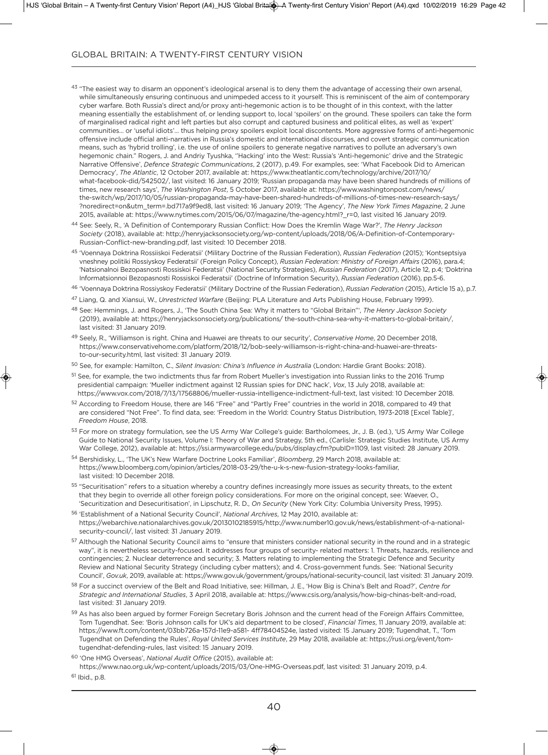- 43 "The easiest way to disarm an opponent's ideological arsenal is to deny them the advantage of accessing their own arsenal, while simultaneously ensuring continuous and unimpeded access to it yourself. This is reminiscent of the aim of contemporary cyber warfare. Both Russia's direct and/or proxy anti-hegemonic action is to be thought of in this context, with the latter meaning essentially the establishment of, or lending support to, local 'spoilers' on the ground. These spoilers can take the form of marginalised radical right and left parties but also corrupt and captured business and political elites, as well as 'expert' communities… or 'useful idiots'… thus helping proxy spoilers exploit local discontents. More aggressive forms of anti-hegemonic offensive include official anti-narratives in Russia's domestic and international discourses, and covert strategic communication means, such as 'hybrid trolling', i.e. the use of online spoilers to generate negative narratives to pollute an adversary's own hegemonic chain." Rogers, J. and andriy Tyushka, ''Hacking' into the West: Russia's 'anti-hegemonic' drive and the Strategic narrative offensive', *Defence Strategic Communications*, 2 (2017), p.49. For examples, see: 'What Facebook did to american democracy', *The Atlantic*, 12 october 2017, available at: https://www.theatlantic.com/technology/archive/2017/10/ what-facebook-did/542502/, last visited: 16 January 2019; 'Russian propaganda may have been shared hundreds of millions of times, new research says', *The Washington Post*, 5 october 2017, available at: https://www.washingtonpost.com/news/ the-switch/wp/2017/10/05/russian-propaganda-may-have-been-shared-hundreds-of-millions-of-times-new-research-says/ ?noredirect=on&utm\_term=.bd717a9f9ed8, last visited: 16 January 2019; 'The agency', *The New York Times Magazine*, 2 June 2015, available at: https://www.nytimes.com/2015/06/07/magazine/the-agency.html?\_r=0, last visited 16 January 2019.
- <sup>44</sup> See: Seely, R., 'a definition of Contemporary Russian Conflict: How does the Kremlin Wage War?', *The Henry Jackson Society* (2018), available at: http://henryjacksonsociety.org/wp-content/uploads/2018/06/a-definition-of-Contemporary-Russian-Conflict-new-branding.pdf, last visited: 10 December 2018.
- <sup>45</sup> 'Voennaya doktrina Rossiiskoi Federatsii' (Military doctrine of the Russian Federation), *Russian Federation* (2015); 'Kontseptsiya vneshney politiki Rossiyskoy Federatsii' (Foreign Policy Concept), *Russian Federation: Ministry of Foreign Affairs* (2016), para.4; 'natsionalnoi Bezopasnosti Rossiskoi Federatsii' (national Security Strategies), *Russian Federation* (2017), article 12, p.4; 'doktrina informatsionnoi Bezopasnosti Rossiskoi Federatsii' (doctrine of information Security), *Russian Federation* (2016), pp.5-6.

<sup>46</sup> 'Voennaya Doktrina Rossiyskoy Federatsii' (Military Doctrine of the Russian Federation), *Russian Federation* (2015), Article 15 a), p.7.

- <sup>47</sup> liang, Q. and Xiansui, W., *Unrestricted Warfare* (Beijing: Pla literature and arts Publishing House, February 1999).
- <sup>48</sup> See: Hemmings, J. and Rogers, J., 'The South China Sea: Why it matters to "global Britain"', *The Henry Jackson Society* (2019), available at: https://henryjacksonsociety.org/publications/ the-south-china-sea-why-it-matters-to-global-britain/, last visited: 31 January 2019.
- 49 Seelv. R., 'Williamson is right. China and Huawei are threats to our security', Conservative Home, 20 December 2018, https://www.conservativehome.com/platform/2018/12/bob-seely-williamson-is-right-china-and-huawei-are-threatsto-our-security.html, last visited: 31 January 2019.
- <sup>50</sup> See, for example: Hamilton, C., *Silent Invasion: China's Influence in Australia* (london: Hardie grant Books: 2018).
- <sup>51</sup> See, for example, the two indictments thus far from Robert Mueller's investigation into Russian links to the 2016 Trump presidential campaign: 'Mueller indictment against 12 Russian spies for DNC hack', *Vox*, 13 July 2018, available at: https://www.vox.com/2018/7/13/17568806/mueller-russia-intelligence-indictment-full-text, last visited: 10 december 2018.
- <sup>52</sup> according to Freedom House, there are 146 "Free" and "Partly Free" countries in the world in 2018, compared to 49 that are considered "Not Free". To find data, see: 'Freedom in the World: Country Status Distribution, 1973-2018 [Excel Table]', *Freedom House*, 2018.
- 53 For more on strategy formulation, see the US Army War College's guide: Bartholomees, Jr., J. B. (ed.), 'US Army War College Guide to National Security Issues, Volume I: Theory of War and Strategy, 5th ed., (Carlisle: Strategic Studies Institute, US Army War College, 2012), available at: https://ssi.armywarcollege.edu/pubs/display.cfm?pubID=1109, last visited: 28 January 2019.
- 54 Bershidisky, L., 'The UK's New Warfare Doctrine Looks Familiar', *Bloomberg*, 29 March 2018, available at: https://www.bloomberg.com/opinion/articles/2018-03-29/the-u-k-s-new-fusion-strategy-looks-familiar, last visited: 10 December 2018.
- <sup>55</sup> "Securitisation" refers to a situation whereby a country defines increasingly more issues as security threats, to the extent that they begin to override all other foreign policy considerations. For more on the original concept, see: Waever, O., 'Securitization and Desecuritisation', in Lipschutz, R. D., *On Security* (New York City: Columbia University Press, 1995).
- <sup>56</sup> 'establishment of a national Security Council', *National Archives*, 12 May 2010, available at: https://webarchive.nationalarchives.gov.uk/20130102185915/http://www.number10.gov.uk/news/establishment-of-a-nationalsecurity-council/, last visited: 31 January 2019.
- 57 Although the National Security Council aims to "ensure that ministers consider national security in the round and in a strategic way", it is nevertheless security-focused. it addresses four groups of security- related matters: 1. Threats, hazards, resilience and contingencies; 2. nuclear deterrence and security; 3. Matters relating to implementing the Strategic defence and Security Review and National Security Strategy (including cyber matters); and 4. Cross-government funds. See: 'National Security Council', *Gov.uk*, 2019, available at: https://www.gov.uk/government/groups/national-security-council, last visited: 31 January 2019.
- <sup>58</sup> For a succinct overview of the Belt and Road initiative, see: Hillman, J. e., 'How Big is China's Belt and Road?', *Centre for Strategic and International Studies*, 3 april 2018, available at: https://www.csis.org/analysis/how-big-chinas-belt-and-road, last visited: 31 January 2019.
- 59 As has also been argued by former Foreign Secretary Boris Johnson and the current head of the Foreign Affairs Committee, Tom Tugendhat. See: 'Boris Johnson calls for UK's aid department to be closed', Financial Times, 11 January 2019, available at: https://www.ft.com/content/03bb726a-157d-11e9-a581- 4ff78404524e, lasted visited: 15 January 2019; Tugendhat, T., 'Tom Tugendhat on defending the Rules', *Royal United Services Institute*, 29 May 2018, available at: https://rusi.org/event/tomtugendhat-defending-rules, last visited: 15 January 2019.

<sup>60</sup> 'one HMg overseas', *National Audit Office* (2015), available at: https://www.nao.org.uk/wp-content/uploads/2015/03/one-HMg-overseas.pdf, last visited: 31 January 2019, p.4.

 $61$  lbid., p.8.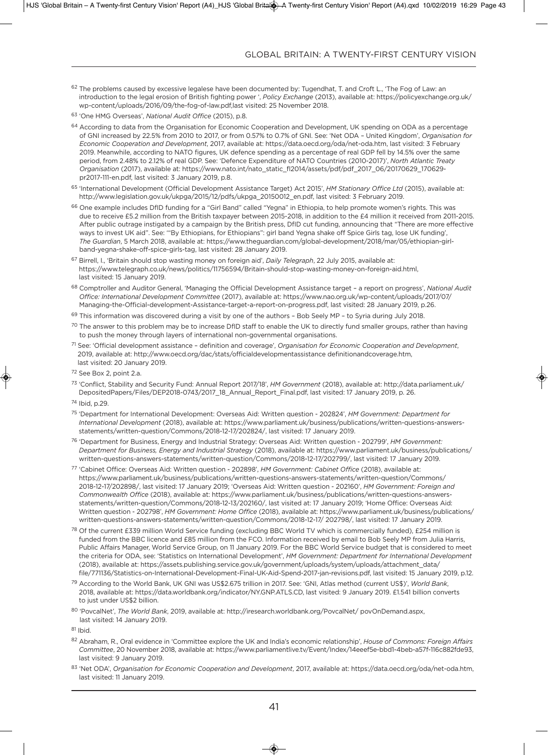- $62$  The problems caused by excessive legalese have been documented by: Tugendhat, T. and Croft L., 'The Fog of Law: an introduction to the legal erosion of British fighting power ', *Policy Exchange* (2013), available at: https://policyexchange.org.uk/ wp-content/uploads/2016/09/the-fog-of-law.pdf,last visited: 25 november 2018.
- <sup>63</sup> 'one HMg overseas', *National Audit Office* (2015), p.8.
- 64 According to data from the Organisation for Economic Cooperation and Development, UK spending on ODA as a percentage of gni increased by 22.5% from 2010 to 2017, or from 0.57% to 0.7% of gni. See: 'net oda – united Kingdom', *Organisation for Economic Cooperation and Development*, 2017, available at: https://data.oecd.org/oda/net-oda.htm, last visited: 3 February 2019. Meanwhile, according to NATO figures, UK defence spending as a percentage of real GDP fell by 14.5% over the same period, from 2.48% to 2.12% of real gdP. See: 'defence expenditure of naTo Countries (2010-2017)', *North Atlantic Treaty Organisation* (2017), available at: https://www.nato.int/nato\_static\_fl2014/assets/pdf/pdf\_2017\_06/20170629\_170629 pr2017-111-en.pdf, last visited: 3 January 2019, p.8.
- 65 'International Development (Official Development Assistance Target) Act 2015', *HM Stationary Office Ltd* (2015), available at: http://www.legislation.gov.uk/ukpga/2015/12/pdfs/ukpga\_20150012\_en.pdf, last visited: 3 February 2019.
- 66 One example includes DfID funding for a "Girl Band" called "Yegna" in Ethiopia, to help promote women's rights. This was due to receive £5.2 million from the British taxpayer between 2015-2018, in addition to the £4 million it received from 2011-2015. After public outrage instigated by a campaign by the British press, DfID cut funding, announcing that "There are more effective ways to invest UK aid". See: "By Ethiopians, for Ethiopians": girl band Yegna shake off Spice Girls tag, lose UK funding', *The Guardian*, 5 March 2018, available at: https://www.theguardian.com/global-development/2018/mar/05/ethiopian-girlband-yegna-shake-off-spice-girls-tag, last visited: 28 January 2019.
- <sup>67</sup> Birrell, i., 'Britain should stop wasting money on foreign aid', *Daily Telegraph*, 22 July 2015, available at: https://www.telegraph.co.uk/news/politics/11756594/Britain-should-stop-wasting-money-on-foreign-aid.html, last visited: 15 January 2019.
- 68 Comptroller and Auditor General, 'Managing the Official Development Assistance target a report on progress', National Audit *Office: International Development Committee* (2017), available at: https://www.nao.org.uk/wp-content/uploads/2017/07/ Managing-the-official-development-assistance-target-a-report-on-progress.pdf, last visited: 28 January 2019, p.26.
- $69$  This information was discovered during a visit by one of the authors Bob Seely MP to Syria during July 2018.
- $70$  The answer to this problem may be to increase DfID staff to enable the UK to directly fund smaller groups, rather than having to push the money through layers of international non-governmental organisations.
- <sup>71</sup> See: 'official development assistance definition and coverage', *Organisation for Economic Cooperation and Development*, 2019, available at: http://www.oecd.org/dac/stats/officialdevelopmentassistance definitionandcoverage.htm, last visited: 20 January 2019.
- <sup>72</sup> See Box 2, point 2.a.
- <sup>73</sup> 'Conflict, Stability and Security Fund: annual Report 2017/18', *HM Government* (2018), available at: http://data.parliament.uk/ DepositedPapers/Files/DEP2018-0743/2017\_18\_Annual\_Report\_Final.pdf, last visited: 17 January 2019, p. 26.
- <sup>74</sup> ibid, p.29.
- <sup>75</sup> 'department for international development: overseas aid: Written question 202824', *HM Government: Department for International Development* (2018), available at: https://www.parliament.uk/business/publications/written-questions-answersstatements/written-question/Commons/2018-12-17/202824/, last visited: 17 January 2019.
- <sup>76</sup> 'department for Business, energy and industrial Strategy: overseas aid: Written question 202799', *HM Government: Department for Business, Energy and Industrial Strategy* (2018), available at: https://www.parliament.uk/business/publications/ written-questions-answers-statements/written-question/Commons/2018-12-17/202799/, last visited: 17 January 2019.
- <sup>77</sup> 'Cabinet office: overseas aid: Written question 202898', *HM Government: Cabinet Office* (2018), available at: https://www.parliament.uk/business/publications/written-questions-answers-statements/written-question/Commons/ 2018-12-17/202898/, last visited: 17 January 2019; 'overseas aid: Written question - 202160', *HM Government: Foreign and Commonwealth Office* (2018), available at: https://www.parliament.uk/business/publications/written-questions-answersstatements/written-question/Commons/2018-12-13/202160/, last visited at: 17 January 2019; 'Home office: overseas aid: Written question - 202798', *HM Government: Home Office* (2018), available at: https://www.parliament.uk/business/publications/ written-questions-answers-statements/written-question/Commons/2018-12-17/ 202798/, last visited: 17 January 2019.
- <sup>78</sup> Of the current £339 million World Service funding (excluding BBC World TV which is commercially funded), £254 million is funded from the BBC licence and £85 million from the FCo. information received by email to Bob Seely MP from Julia Harris, Public Affairs Manager, World Service Group, on 11 January 2019. For the BBC World Service budget that is considered to meet the criteria for ODA, see: 'Statistics on International Development', *HM Government: Department for International Development* (2018), available at: https://assets.publishing.service.gov.uk/government/uploads/system/uploads/attachment\_data/ file/771136/Statistics-on-International-Development-Final-UK-Aid-Spend-2017-jan-revisions.pdf, last visited: 15 January 2019, p.12.
- <sup>79</sup> according to the World Bank, uK gni was uS\$2.675 trillion in 2017. See: 'gni, atlas method (current uS\$)', *World Bank*, 2018, available at: https://data.worldbank.org/indicator/ny.gnP.aTlS.Cd, last visited: 9 January 2019. £1.541 billion converts to just under uS\$2 billion.
- <sup>80</sup> 'Povcalnet', *The World Bank*, 2019, available at: http://iresearch.worldbank.org/Povcalnet/ povondemand.aspx, last visited: 14 January 2019.
- <sup>81</sup> ibid.
- <sup>82</sup> abraham, R., oral evidence in 'Committee explore the uK and india's economic relationship', *House of Commons: Foreign Affairs Committee*, 20 november 2018, available at: https://www.parliamentlive.tv/event/index/14eeef5e-bbd1-4beb-a57f-116c882fde93, last visited: 9 January 2019.
- <sup>83</sup> 'net oda', *Organisation for Economic Cooperation and Development*, 2017, available at: https://data.oecd.org/oda/net-oda.htm, last visited: 11 January 2019.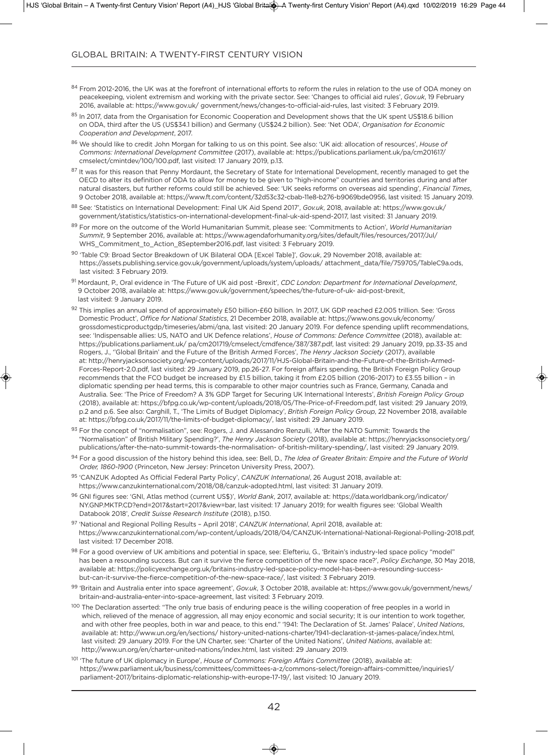- 84 From 2012-2016, the UK was at the forefront of international efforts to reform the rules in relation to the use of ODA money on peacekeeping, violent extremism and working with the private sector. See: 'Changes to official aid rules', *Gov.uk*, 19 February 2016, available at: https://www.gov.uk/ government/news/changes-to-official-aid-rules, last visited: 3 February 2019.
- 85 In 2017, data from the Organisation for Economic Cooperation and Development shows that the UK spent US\$18.6 billion on oda, third after the uS (uS\$34.1 billion) and germany (uS\$24.2 billion). See: 'net oda', *Organisation for Economic Cooperation and Development*, 2017.
- <sup>86</sup> We should like to credit John Morgan for talking to us on this point. See also: 'uK aid: allocation of resources', *House of Commons: International Development Committee* (2017), available at: https://publications.parliament.uk/pa/cm201617/ cmselect/cmintdev/100/100.pdf, last visited: 17 January 2019, p.13.
- 87 It was for this reason that Penny Mordaunt, the Secretary of State for International Development, recently managed to get the OECD to alter its definition of ODA to allow for money to be given to "high-income" countries and territories during and after natural disasters, but further reforms could still be achieved. See: 'uK seeks reforms on overseas aid spending', *Financial Times*, 9 october 2018, available at: https://www.ft.com/content/32d53c32-cbab-11e8-b276-b9069bde0956, last visited: 15 January 2019.
- 88 See: 'Statistics on International Development: Final UK Aid Spend 2017', *Gov.uk*, 2018, available at: https://www.gov.uk/ government/statistics/statistics-on-international-development-final-uk-aid-spend-2017, last visited: 31 January 2019.
- <sup>89</sup> For more on the outcome of the World Humanitarian Summit, please see: 'Commitments to action', *World Humanitarian Summit*, 9 September 2016, available at: https://www.agendaforhumanity.org/sites/default/files/resources/2017/Jul/ WHS\_Commitment\_to\_Action\_8September2016.pdf, last visited: 3 February 2019.
- <sup>90</sup> 'Table C9: Broad Sector Breakdown of uK Bilateral oda [excel Table]', *Gov.uk*, 29 november 2018, available at: https://assets.publishing.service.gov.uk/government/uploads/system/uploads/ attachment\_data/file/759705/TableC9a.ods, last visited: 3 February 2019.
- <sup>91</sup> Mordaunt, P., oral evidence in 'The Future of uK aid post -Brexit', *CDC London: Department for International Development*, 9 october 2018, available at: https://www.gov.uk/government/speeches/the-future-of-uk- aid-post-brexit, last visited: 9 January 2019.
- 92 This implies an annual spend of approximately £50 billion-£60 billion. In 2017, UK GDP reached £2.005 trillion. See: 'Gross Domestic Product', Office for National Statistics, 21 December 2018, available at: https://www.ons.gov.uk/economy/ grossdomesticproductgdp/timeseries/abmi/qna, last visited: 20 January 2019. For defence spending uplift recommendations, see: 'Indispensable allies: US, NATO and UK Defence relations', *House of Commons: Defence Committee* (2018), available at: https://publications.parliament.uk/ pa/cm201719/cmselect/cmdfence/387/387.pdf, last visited: 29 January 2019, pp.33-35 and Rogers, J., ''global Britain' and the Future of the British armed Forces', *The Henry Jackson Society* (2017), available at: http://henryjacksonsociety.org/wp-content/uploads/2017/11/HJS-global-Britain-and-the-Future-of-the-British-armed-Forces-Report-2.0.pdf, last visited: 29 January 2019, pp.26-27. For foreign affairs spending, the British Foreign Policy group recommends that the FCo budget be increased by £1.5 billion, taking it from £2.05 billion (2016-2017) to £3.55 billion – in diplomatic spending per head terms, this is comparable to other major countries such as France, germany, Canada and Australia. See: 'The Price of Freedom? A 3% GDP Target for Securing UK International Interests', *British Foreign Policy Group* (2018), available at: https://bfpg.co.uk/wp-content/uploads/2018/05/The-Price-of-Freedom.pdf, last visited: 29 January 2019, p.2 and p.6. See also: Carghill, T., 'The limits of Budget diplomacy', *British Foreign Policy Group*, 22 november 2018, available at: https://bfpg.co.uk/2017/11/the-limits-of-budget-diplomacy/, last visited: 29 January 2019.
- 93 For the concept of "normalisation", see: Rogers, J. and Alessandro Renzulli, 'After the NATO Summit: Towards the "normalisation" of British Military Spending?', *The Henry Jackson Society* (2018), available at: https://henryjacksonsociety.org/ publications/after-the-nato-summit-towards-the-normalisation- of-british-military-spending/, last visited: 29 January 2019.
- 94 For a good discussion of the history behind this idea, see: Bell, D., *The Idea of Greater Britain: Empire and the Future of World* Order, 1860-1900 (Princeton, New Jersey: Princeton University Press, 2007).
- <sup>95</sup> 'CanZuK adopted as official Federal Party Policy', *CANZUK International*, 26 august 2018, available at: https://www.canzukinternational.com/2018/08/canzuk-adopted.html, last visited: 31 January 2019.
- <sup>96</sup> gni figures see: 'gni, atlas method (current uS\$)', *World Bank*, 2017, available at: https://data.worldbank.org/indicator/ ny.gnP.MKTP.Cd?end=2017&start=2017&view=bar, last visited: 17 January 2019; for wealth figures see: 'global Wealth databook 2018', *Credit Suisse Research Institute* (2018), p.150.
- 97 'National and Regional Polling Results April 2018', *CANZUK International*, April 2018, available at: https://www.canzukinternational.com/wp-content/uploads/2018/04/CanZuK-international-national-Regional-Polling-2018.pdf, last visited: 17 December 2018.
- 98 For a good overview of UK ambitions and potential in space, see: Elefteriu, G., 'Britain's industry-led space policy "model" has been a resounding success. But can it survive the fierce competition of the new space race?', *Policy Exchange*, 30 May 2018, available at: https://policyexchange.org.uk/britains-industry-led-space-policy-model-has-been-a-resounding-successbut-can-it-survive-the-fierce-competition-of-the-new-space-race/, last visited: 3 February 2019.
- <sup>99</sup> 'Britain and australia enter into space agreement', *Gov.uk*, 3 october 2018, available at: https://www.gov.uk/government/news/ britain-and-australia-enter-into-space-agreement, last visited: 3 February 2019.
- 100 The Declaration asserted: "The only true basis of enduring peace is the willing cooperation of free peoples in a world in which, relieved of the menace of aggression, all may enjoy economic and social security; it is our intention to work together, and with other free peoples, both in war and peace, to this end." '1941: The Declaration of St. James' Palace', United Nations, available at: http://www.un.org/en/sections/ history-united-nations-charter/1941-declaration-st-james-palace/index.html, last visited: 29 January 2019. For the UN Charter, see: 'Charter of the United Nations', United Nations, available at: http://www.un.org/en/charter-united-nations/index.html, last visited: 29 January 2019.
- 101 'The future of UK diplomacy in Europe', *House of Commons: Foreign Affairs Committee* (2018), available at: https://www.parliament.uk/business/committees/committees-a-z/commons-select/foreign-affairs-committee/inquiries1/ parliament-2017/britains-diplomatic-relationship-with-europe-17-19/, last visited: 10 January 2019.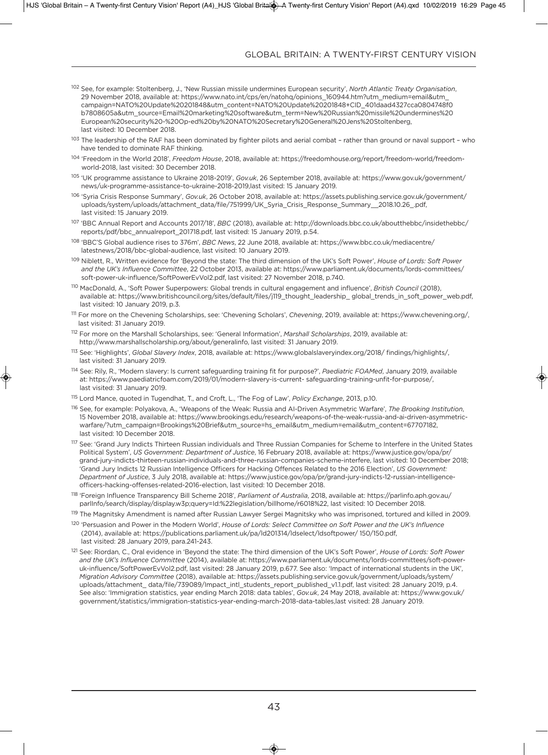- 102 See, for example: Stoltenberg, J., 'New Russian missile undermines European security', North Atlantic Treaty Organisation, 29 november 2018, available at: https://www.nato.int/cps/en/natohq/opinions\_160944.htm?utm\_medium=email&utm\_ campaign=naTo%20update%20201848&utm\_content=naTo%20update%20201848+Cid\_401daad4327cca0804748f0 b7808605a&utm\_source=email%20marketing%20software&utm\_term=new%20Russian%20missile%20undermines%20 european%20security%20-%20op-ed%20by%20naTo%20Secretary%20general%20Jens%20Stoltenberg, last visited: 10 December 2018.
- 103 The leadership of the RAF has been dominated by fighter pilots and aerial combat rather than ground or naval support who have tended to dominate RAF thinking
- <sup>104</sup> 'Freedom in the World 2018', *Freedom House*, 2018, available at: https://freedomhouse.org/report/freedom-world/freedomworld-2018, last visited: 30 December 2018.
- <sup>105</sup> 'uK programme assistance to ukraine 2018-2019', *Gov.uk*, 26 September 2018, available at: https://www.gov.uk/government/ news/uk-programme-assistance-to-ukraine-2018-2019,last visited: 15 January 2019.
- <sup>106</sup> 'Syria Crisis Response Summary', *Gov.uk*, 26 october 2018, available at: https://assets.publishing.service.gov.uk/government/ uploads/system/uploads/attachment\_data/file/751999/UK\_Syria\_Crisis\_Response\_Summary\_\_2018.10.26\_.pdf, last visited: 15 January 2019.
- <sup>107</sup> 'BBC annual Report and accounts 2017/18', *BBC* (2018), available at: http://downloads.bbc.co.uk/aboutthebbc/insidethebbc/ reports/pdf/bbc\_annualreport\_201718.pdf, last visited: 15 January 2019, p.54.
- <sup>108</sup> 'BBC'S global audience rises to 376m', *BBC News*, 22 June 2018, available at: https://www.bbc.co.uk/mediacentre/ latestnews/2018/bbc-global-audience, last visited: 10 January 2019.
- <sup>109</sup> niblett, R., Written evidence for 'Beyond the state: The third dimension of the uK's Soft Power', *House of Lords: Soft Power* and the UK's Influence Committee, 22 October 2013, available at: https://www.parliament.uk/documents/lords-committees/ soft-power-uk-influence/SoftPowerevVol2.pdf, last visited: 27 november 2018, p.740.
- <sup>110</sup> Macdonald, a., 'Soft Power Superpowers: global trends in cultural engagement and influence', *British Council* (2018), available at: https://www.britishcouncil.org/sites/default/files/j119\_thought\_leadership\_ global\_trends\_in\_soft\_power\_web.pdf, last visited: 10 January 2019, p.3.
- <sup>111</sup> For more on the Chevening Scholarships, see: 'Chevening Scholars', *Chevening*, 2019, available at: https://www.chevening.org/, last visited: 31 January 2019.
- <sup>112</sup> For more on the Marshall Scholarships, see: 'general information', *Marshall Scholarships*, 2019, available at: http://www.marshallscholarship.org/about/generalinfo, last visited: 31 January 2019.
- <sup>113</sup> See: 'Highlights', *Global Slavery Index*, 2018, available at: https://www.globalslaveryindex.org/2018/ findings/highlights/, last visited: 31 January 2019.
- <sup>114</sup> See: Rily, R., 'Modern slavery: is current safeguarding training fit for purpose?', *Paediatric FOAMed*, January 2019, available at: https://www.paediatricfoam.com/2019/01/modern-slavery-is-current- safeguarding-training-unfit-for-purpose/, last visited: 31 January 2019.
- <sup>115</sup> lord Mance, quoted in Tugendhat, T., and Croft, l., 'The Fog of law', *Policy Exchange*, 2013, p.10.
- <sup>116</sup> See, for example: Polyakova, a., 'Weapons of the Weak: Russia and ai-driven asymmetric Warfare', *The Brooking Institution*, 15 november 2018, available at: https://www.brookings.edu/research/weapons-of-the-weak-russia-and-ai-driven-asymmetricwarfare/?utm\_campaign=Brookings%20Brief&utm\_source=hs\_email&utm\_medium=email&utm\_content=67707182, last visited: 10 December 2018.
- <sup>117</sup> See: 'Grand Jury Indicts Thirteen Russian individuals and Three Russian Companies for Scheme to Interfere in the United States Political System', *US Government: Department of Justice*, 16 February 2018, available at: https://www.justice.gov/opa/pr/ grand-jury-indicts-thirteen-russian-individuals-and-three-russian-companies-scheme-interfere, last visited: 10 December 2018; 'Grand Jury Indicts 12 Russian Intelligence Officers for Hacking Offences Related to the 2016 Election', *US Government: Department of Justice*, 3 July 2018, available at: https://www.justice.gov/opa/pr/grand-jury-indicts-12-russian-intelligenceofficers-hacking-offenses-related-2016-election, last visited: 10 December 2018.
- <sup>118</sup> 'Foreign influence Transparency Bill Scheme 2018', *Parliament of Australia*, 2018, available at: https://parlinfo.aph.gov.au/ parlInfo/search/display/display.w3p;query=Id:%22legislation/billhome/r6018%22, last visited: 10 December 2018.
- 119 The Magnitsky Amendment is named after Russian Lawyer Sergei Magnitsky who was imprisoned, tortured and killed in 2009.
- <sup>120</sup> 'Persuasion and Power in the Modern World', *House of Lords: Select Committee on Soft Power and the UK's Influence* (2014), available at: https://publications.parliament.uk/pa/ld201314/ldselect/ldsoftpower/ 150/150.pdf, last visited: 28 January 2019, para.241-243.
- <sup>121</sup> See: Riordan, C., oral evidence in 'Beyond the state: The third dimension of the uK's Soft Power', *House of Lords: Soft Power and the UK's Influence Committee* (2014), available at: https://www.parliament.uk/documents/lords-committees/soft-poweruk-influence/SoftPowerEvVol2.pdf, last visited: 28 January 2019, p.677. See also: 'Impact of international students in the UK', *Migration Advisory Committee* (2018), available at: https://assets.publishing.service.gov.uk/government/uploads/system/ uploads/attachment\_data/file/739089/Impact\_intl\_students\_report\_published\_v1.1.pdf, last visited: 28 January 2019, p.4. See also: 'immigration statistics, year ending March 2018: data tables', *Gov.uk*, 24 May 2018, available at: https://www.gov.uk/ government/statistics/immigration-statistics-year-ending-march-2018-data-tables,last visited: 28 January 2019.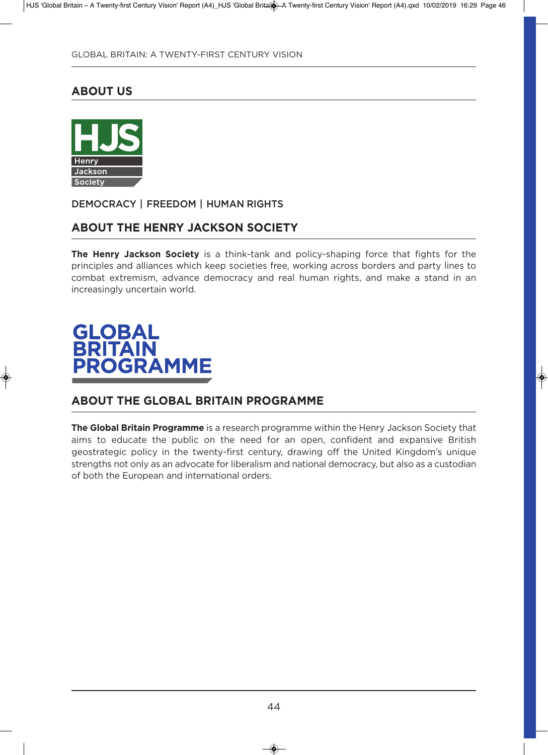# **about us**



**DEMOCRACY | FREEDOM | HUMAN RIGHTS**

# **about the henry JaCKson soCiety**

**the henry Jackson society** is a think-tank and policy-shaping force that fights for the principles and alliances which keep societies free, working across borders and party lines to combat extremism, advance democracy and real human rights, and make a stand in an increasingly uncertain world.

# **GLOBAL<br>BRITAIN PROGRAMME**

## **about the Global britain ProGraMMe**

**the Global britain Programme** is a research programme within the Henry Jackson Society that aims to educate the public on the need for an open, confident and expansive British geostrategic policy in the twenty-first century, drawing off the united Kingdom's unique strengths not only as an advocate for liberalism and national democracy, but also as a custodian of both the European and international orders.